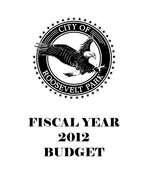

# FISCAL YEAR 2012 BUDGET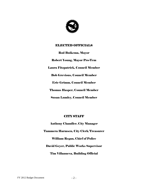

## ELECTED OFFICIALS

Rod Buikema, Mayor

Robert Young, Mayor Pro-Tem Laura Fitzpatrick, Council Member Bob Grevious, Council Member Eric Grimm, Council Member Thomas Hasper, Council Member Susan Lumley, Council Member

## CITY STAFF

Anthony Chandler, City Manager Tammera Harmsen, City Clerk/Treasurer William Regan, Chief of Police David Geyer, Public Works Supervisor Tim Villanueva, Building Official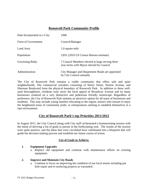## **Roosevelt Park Community Profile**

| Date Incorporated as a City: | 1946                                                                                         |
|------------------------------|----------------------------------------------------------------------------------------------|
| Form of Government:          | Council/Manager                                                                              |
| Land Area:                   | 1.0 square mile                                                                              |
| Population:                  | 3,831 (2010 US Census Bureau estimate)                                                       |
| Governing Body:              | 7 Council Members elected at large serving three<br>year terms with Mayor elected by Council |
| Administration:              | City Manager and Department Heads are appointed<br>by City Council annually                  |

The City of Roosevelt Park remains a viable community that offers safe and quiet neighborhoods. The commercial corridors consisting of Henry Street, Norton Avenue, and Sherman Boulevard form the physical boundary of Roosevelt Park. In addition to these wellused thoroughfares, residents truly savor the local appeal of Broadway Avenue and its many businesses centered on a very distinctive and pedestrian friendly streetscape. Regardless of preference, the City of Roosevelt Park remains an attractive option for all types of businesses and residents. This may include young families relocating to the region, seniors who remain to enjoy the heightened sense of community pride, or entrepreneurs seeking to establish themselves in a ripe environment.

## **City of Roosevelt Park's top Priorities 2011/2012**

In August 2011, the City Council along with City staff orchestrated a brainstorming session with the intent of deriving a list of goals to pursue in the forthcoming year. The results of the session were quite positive, and the ideas that were circulated have culminated into a blueprint that will guide the decision making process and establish our future course of action.

## **List of Goals to Achieve:**

## **1. Equipment Upgrades**

a. Replace old equipment and continue with maintenance efforts on existing equipment.

#### **2. Improve and Maintain City Roads**

a. Continue to focus on improving the condition of our local streets including pot hole repair and re-surfacing projects as warranted.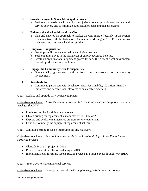#### **3. Search for ways to Share Municipal Services**

a. Seek out partnerships with neighboring jurisdictions to provide cost savings with service delivery and to minimize duplication of basic municipal services.

## **4. Enhance the Marketability of the City**

a. Plan and develop an approach to market the City more effectively in the region. Remain active with the Lakeshore Chamber and Muskegon Area First and utilize their services to enhance local recognition.

## **5. Employee Compensation**

- a. Develop a uniform wage schedule and hiring practice.
- b. Seek out alternatives to the rising cost of employee/retiree benefits.
- c. Create an organizational alignment geared towards the current fiscal environment that will position us into the future.

## **6. Engage the Community with Transparency**

a. Operate City government with a focus on transparency and community involvement.

## **7. Sustainability**

a. Continue to participate with Muskegon Area Sustainability Coalition (MASC) initiatives and become local stewards of sustainable practices.

## **Goal:** Replace and upgrade City-owned equipment

Objectives to achieve: *Utilize the resources available in the Equipment Fund to purchase a plow truck for the DPW.* 

- Purchase a trailer for riding lawn mower
- Obtain pricing for replacement x-mark mower for 2012 or 2013
- Explore and evaluate maintenance program for city equipment
- Continue to modify the equipment replacement schedule

## **Goal:** Continue a strong focus on improving the city roadways

Objectives to achieve: *Fund balances available in the Local and Major Street Funds for resurfacing projects* 

- Glenside Phase III project in 2012
- Prioritize local streets for re-surfacing in 2013
- Implement a plan for future reconstruction projects in Major Streets through WMSRDC

**Goal:** Seek ways to share municipal services

Objectives to achieve: *Develop partnerships with neighboring jurisdictions and county* 

 $FY$  2012 Budget Document  $-4$  -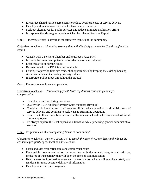- Encourage shared service agreements to reduce overhead costs of service delivery
- Develop and maintain a cost index for basic service delivery
- Seek out alternatives for public services and reduce/eliminate duplication efforts
- Incorporate the Muskegon Lakeshore Chamber Shared Services Report

**Goal:** Increase efforts to advertise the attractive features of the community

Objectives to achieve: *Marketing strategy that will effectively promote the City throughout the region* 

- Consult with Lakeshore Chamber and Muskegon Area First
- Increase the investment potential of residential/commercial areas
- Establish a vision for the future
- Be creative with the DDA funding available
- Continue to provide first-rate residential opportunities by keeping the existing housing stock desirable and increasing property values
- Incorporate public input throughout the process

**Goal:** Restructure employee compensation

Objectives to achieve: *Work to comply with State regulations concerning employee compensation* 

- Establish a uniform hiring procedure
- Qualify for EVIP funding (formerly State Statutory Revenue)
- Combine job function and staff responsibilities where practical to diminish costs of service delivery and continue to seek ways to streamline operations
- Ensure that all staff members become multi-dimensional and make this a standard for all future employees
- To always explore the least expensive alternative while procuring general administrative services

**Goal:** To generate an all encompassing "sense of community"

Objectives to achieve: *Foster a strong will to enrich the lives of our residents and enliven the economic prosperity of the local business owners.* 

- Clean and safe residential areas and commercial zones
- Responsible government action by operating with the utmost integrity and utilizing measures of transparency that will open the lines of communication
- Keep access to information open and interactive for all council members, staff, and residents for more accurate delivery of information
- Develop local outreach programs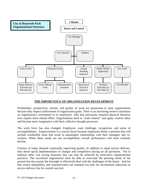

## **THE IMPORTANCE OF ORGANIZATION DEVELOPMENT**

Profitability, productivity, morale, and quality of work are paramount to most organizations because they impact achievement of organization goals. There is an increasing trend to maximize an organization's investment in its employees. Jobs that previously required physical dexterity now require more mental effort. Organizations need to "work smarter" and apply creative ideas and become more imaginative with their collective thought processes.

The work force has also changed. Employees want challenge, recognition, and sense of accomplishment. Empowerment is a crucial factor because employees desire a position that will include worthwhile tasks that result in meaningful relationships with their managers and coworkers. When these needs are not accomplished, overall performance will most certainly decline.

Citizens of today demand continually improving quality. In addition to rapid service delivery, they desire quick implementation of changes and competitive pricing on all purchases. Not to mention other cost saving measures that can only be achieved by innovative organizational practices. The successful organization must be able to overcome the pressing needs of the present but also posses the foresight to effectively deal with the challenges of the future. And for that reason adaptability and responsiveness are essential not only for incremental reductions in service delivery but for overall survival.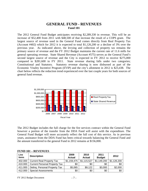## **GENERAL FUND - REVENUES Fund 101**

The 2012 General Fund Budget anticipates receiving \$2,289,330 in revenue. This will be an increase of \$52,400 from 2011 with \$48,500 of that increase the result of a COPS grant. The largest source of revenue used in the General Fund comes directly from Real Property Tax (Account #402) which for 2012 it is expected to total \$1,126,200 or a decline of 3% over the previous year. As indicated above, the levying and collection of property tax remains the primary source of revenue and the FY 2012 Budget maintains the current rate of 11.6 mills for general operating revenue. State Shared Revenue (Account #575) serves as the General Fund's second largest source of revenue and the City is expected in FY 2012 to receive \$275,000 compared to \$281,600 in FY 2011. State revenue sharing falls under two categories; Constitutional and Statutory. Statutory revenue sharing is now disbursed as part of the Economic Vitality Incentive Program (EVIP) and the city's allotment in 2012 is \$23,438. The chart below reflects the reduction trend experienced over the last couple years for both sources of general fund revenue.



The 2012 Budget includes the full charge for the fire services contract within the General Fund however a portion of the transfer from the DDA Fund will assist with the expenditure. The General Fund Budget will more accurately reflect the full cost of this service. As in previous years, assistance from the DDA Fund has been critical towards balancing the General Fund and the amount transferred to the general Fund in 2012 remains at \$156,000.

| Line<br>items | <b>Description</b>                   | 2009<br><b>Actual</b> | 2010<br>Actual | 2011<br><b>Budget</b> | 2012        |
|---------------|--------------------------------------|-----------------------|----------------|-----------------------|-------------|
| 402.000       | <b>Current Real Property Tax</b>     | \$1,159,475           | \$1,115,527    | \$1,149,200           | \$1,126,200 |
| 410.000       | <b>Current Personal Property Tax</b> | \$0                   | \$0            | \$0                   | \$0         |
| 411.000       | Deling. Personal Property Tax        | \$5,065               | \$9,122        | \$3,000               | \$2,000     |
| 412.000       | <b>Special Assessments</b>           | \$0                   | \$0            | \$0                   | \$0         |

#### **FUND 101 – REVENUES**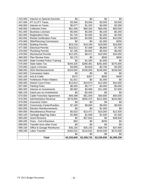|         | <b>Total</b>                        | \$2,320,600 | \$2,258,722 | \$2,236,930 | \$2,289,330 |
|---------|-------------------------------------|-------------|-------------|-------------|-------------|
|         |                                     | \$0         | \$0         | \$0         | \$0         |
| 699.200 | Labor Transfer                      | \$160,015   | \$116,542   | \$164,030   | \$170,500   |
| 699.100 | Office & Garage Reimburse           | \$35,150    | \$35,150    | \$38,700    | \$37,900    |
| 699.000 | Transfer from other Fund            | \$0         | \$0         | \$0         | \$0         |
| 696.000 | Fines - Civil Infractions           | \$50        | \$0         | \$200       | \$0         |
| 695.000 | <b>Grant Revenue</b>                | \$0         | \$57,816    | \$0         | \$48,500    |
| 694.100 | Garbage Bag/Tag Sales               | \$1,868     | \$1,569     | \$1,500     | \$1,500     |
| 694.000 | Miscellaneous Revenue               | \$5,923     | \$13,471    | \$15,000    | \$12,500    |
| 693.000 | <b>Election Reimbursements</b>      | \$0         | \$0         | \$1,000     | \$0         |
| 690.000 | <b>Community Center/Pavilion</b>    | \$7,190     | \$8,665     | \$8,000     | \$8,500     |
| 679.000 | <b>Insurance Claim</b>              | \$0         | \$0         | \$0         | \$0         |
| 676.000 | <b>Administrative Revenue</b>       | \$278,905   | \$260,375   | \$221,800   | \$244,080   |
| 670.000 | Cable Franchise Agreement           | \$49,398    | \$51,559    | \$40,800    | \$50,000    |
| 665.100 | Gain/Loss on Investments            | \$0         | $-$2,403$   | \$0         | \$0         |
| 665.000 | Interest on Investments             | \$6,992     | \$5,066     | \$11,000    | \$7,500     |
| 657.000 | <b>Parking Fines</b>                | \$6,450     | \$5,777     | \$4,000     | \$5,000     |
| 656.000 | <b>District Court Fines</b>         | \$13,814    | \$19,973    | \$12,000    | \$15,000    |
| 655.000 | <b>Forfeitures-Police Matters</b>   | \$1,921     | \$0         | \$1,000     | \$0         |
| 642.100 | Arts & Crafts                       | \$472       | \$307       | \$500       | \$400       |
| 642.000 | <b>Concession Sales</b>             | \$0         | \$0         | \$0         | \$0         |
| 588.000 | <b>DDA Reimbursements</b>           | \$154,000   | \$156,000   | \$156,000   | \$156,000   |
| 576.000 | <b>Liquor Licenses</b>              | \$3,836     | \$3,818     | \$3,700     | \$3,550     |
| 575.000 | <b>State Sales Tax</b>              | \$294,320   | \$280,481   | \$281,600   | \$275,000   |
| 544.000 | <b>State Funded Police Training</b> | \$0         | \$1,393     | \$1,600     | \$0         |
| 480.000 | Plan Review Fees                    | \$2,175     | \$0         | \$500       | \$500       |
| 479.000 | <b>Mechanical Permits</b>           | \$12,325    | \$9,471     | \$10,000    | \$10,000    |
| 478.000 | <b>Plumbing Permits</b>             | \$7,195     | \$4,842     | \$5,500     | \$6,000     |
| 477.000 | <b>Electrical Permits</b>           | \$10,013    | \$7,469     | \$8,800     | \$7,700     |
| 476.000 | <b>Building Permits</b>             | \$23,218    | \$19,246    | \$18,000    | \$18,000    |
| 475.000 | <b>ZBA/Planning Commission</b>      | \$0         | \$0         | \$1,000     | \$250       |
| 453.000 | <b>Rental Certification Fees</b>    | \$4,600     | \$4,950     | \$5,800     | \$10,000    |
| 452.000 | <b>Registration Fees</b>            | \$1,740     | \$2,635     | \$2,200     | \$2,500     |
| 451.000 | <b>Business Licenses</b>            | \$5,005     | \$5,305     | \$5,100     | \$5,250     |
| 448.000 | <b>Collection Fees</b>              | \$61,408    | \$60,264    | \$58,400    | \$60,000    |
| 446.000 | Interest on Taxes                   | \$5,077     | \$1,332     | \$4,000     | \$2,000     |
| 437.000 | IFT & CFT Taxes                     | \$3,000     | \$3,000     | \$3,000     | \$3,000     |
| 415.000 | Interest on Special Assmnts.        | \$0         | \$0         | \$0         | \$0         |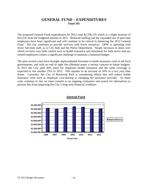## **GENERAL FUND – EXPENDITURES Fund 101**

The proposed General Fund expenditures for 2012 total \$2,196,135 which is a slight increase of \$10,335 from the budgeted amount in 2011. Reduced staffing and the expanded use of part-time employees have been significant and will continue to be critical in balancing the 2012 General Fund. The city continues to provide services with fewer resources. DPW is operating with fewer full-time staff, as is City Hall and the Police Department. Steady increases in items over which we have very little control such as health insurance and retirement for both active and our retired employees creates a significant challenge to maintain a balanced budget.

The past several years have brought unprecedented increases in heath insurance costs to all local governments, and with no end in sight this dilemma poses a serious concern to future budgets. In 2011 the City paid 36% more for employee health insurance and the same coverage is expected to rise another 25% in 2012. This equates to an increase of 56% in a two year time frame. Currently, the City of Roosevelt Park is considering efforts that will reduce health insurance costs such as employee cost-sharing or changing the insurance provider. As these costs continue to rise we must commit to an ongoing evaluation and search for alternatives to prevent this from impacting the City's long term financial condition.



**General Fund**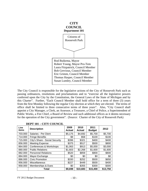

The City Council is responsible for the legislative actions of the City of Roosevelt Park such as passing ordinances, resolutions and proclamations and to "exercise all the legislative powers conferred upon the City by the Constitution, the General Laws of the State of Michigan and by this Charter". Further, "Each Council Member shall hold office for a term of three (3) years from the first Monday following the regular City election at which they are elected. The terms of office shall be limited to three consecutive terms of three years". Also, "City Council shall appoint a City Manager, a Clerk, an Assessor, a Treasurer, a Chief of Police, a Superintendent of Public Works, a Fire Chief, a Board of Review and such additional offices as it deems necessary for the operation of the City government". (Source: Charter of the City of Roosevelt Park)

| Line<br>items | <b>Description</b>             | 2009<br><b>Actual</b> | 2010<br><b>Actual</b> | 2011<br><b>Budget</b> | 2012     |
|---------------|--------------------------------|-----------------------|-----------------------|-----------------------|----------|
| 703.000       | Salaries - Per Diem            | \$5,175               | \$4,692               | \$5,700               | \$5,700  |
| 714.000       | <b>Fringe Benefits</b>         | \$9                   | \$58                  | \$100                 | \$100    |
| 715.000       | City's Share - Social Security | \$396                 | \$321                 | \$400                 | \$400    |
| 856.000       | <b>Meeting Expense</b>         | \$375                 | \$517                 | \$500                 | \$800    |
| 864.000       | Conferences & Workshops        | \$1,063               | \$913                 | \$5,000               | \$3,000  |
| 880.000       | <b>Public Relations</b>        | \$1,603               | \$2,268               | \$1,600               | \$1,600  |
| 882.000       | <b>Personnel Relations</b>     | \$520                 | \$859                 | \$800                 | \$800    |
| 884.000       | Mayor Exchange                 | \$0                   | \$0                   | \$0                   | \$0      |
| 886.000       | <b>Civic Promotion</b>         | \$330                 | \$252                 | \$500                 | \$650    |
| 956.000       | Miscellaneous                  | \$227                 | \$449                 | \$500                 | \$400    |
| 958.000       | Memberships & Dues             | \$0                   | \$355                 | \$300                 | \$300    |
|               | Total                          | \$9,698               | \$10,683              | \$15,400              | \$13,750 |

#### **DEPT 101 – CITY COUNCIL**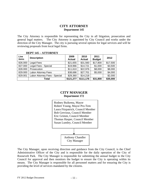## **CITY ATTORNEY Department 145**

The City Attorney is responsible for representing the City in all litigation, prosecution and general legal matters. The City Attorney is appointed by City Council and works under the direction of the City Manager. The city is pursuing several options for legal services and will be reviewing proposals from local legal firms.

| Line<br>items | <b>Description</b>            | 2009<br><b>Actual</b> | 2010<br><b>Actual</b> | 2011<br><b>Budget</b> | 2012     |
|---------------|-------------------------------|-----------------------|-----------------------|-----------------------|----------|
| 826.000       | Legal Fees                    | \$21,655              | \$31,560              | \$17,800              | \$17,500 |
| 827.000       | Legal Fees - Special          | \$19,966              | \$14,721              | \$1,000               | \$3,500  |
| 828.000       | Prosecution                   | \$11,610              | \$22,976              | \$8,000               | \$8,000  |
| 829.000       | Labor Attorney Fees           | \$38,686              | \$27,701              | \$5,000               | \$4,000  |
| 829.001       | Labor Attorney Fees - Special | \$29,360              | \$14,218              |                       | \$2,000  |
|               | Total                         | \$121,277             | \$111,176             | \$31,800              | \$35,000 |

#### **DEPT 145 – ATTORNEY**

## **CITY MANAGER Department 172**



The City Manager, upon receiving direction and guidance from the City Council, is the Chief Administrative Officer of the City and is responsible for the daily operation of the City of Roosevelt Park. The City Manager is responsible for submitting the annual budget to the City Council for approval and then monitors the budget to ensure the City is operating within its means. The City Manager is responsible for all personnel matters and for ensuring the City is providing the level of services mandated by the citizens.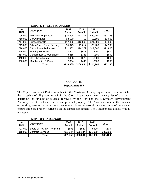| Line<br>items | <b>Description</b>             | 2009<br><b>Actual</b> | 2010<br><b>Actual</b> | 2011<br><b>Budget</b> | 2012     |
|---------------|--------------------------------|-----------------------|-----------------------|-----------------------|----------|
| 705.000       | Full-Time Employees            | \$70,308              | \$73,311              | \$69,700              | \$63,135 |
| 710.000       | Car Allowance                  | \$3,600               | \$0                   | \$3,600               | \$3,600  |
| 714.000       | <b>Fringe Benefits</b>         | \$17,850              | \$13,805              | \$21,500              | \$7,900  |
| 715.000       | City's Share Social Security   | \$5,375               | \$5,614               | \$5,200               | \$4,900  |
| 718.000       | <b>City's Share Retirement</b> | \$11,803              | \$14,362              | \$11,800              | \$11,800 |
| 856.000       | <b>Meeting Expense</b>         | \$497                 | \$618                 | \$400                 | \$500    |
| 864.000       | Conferences & Workshops        | \$465                 | \$388                 | \$800                 | \$500    |
| 940.000       | <b>Cell Phone Rental</b>       | \$453                 | \$320                 | \$500                 | \$600    |
| 958.000       | Memberships & Dues             | \$634                 | \$446                 | \$600                 | \$200    |
|               | Total                          | \$110,985             | \$108,864             | \$114,100             | \$93,135 |

#### **DEPT 172 – CITY MANAGER**

# **ASSESSOR**

**Department 209** 

The City of Roosevelt Park contracts with the Muskegon County Equalization Department for the assessing of all properties within the City. Assessments taken January 1st of each year determine the amount of revenue received by the City and the Downtown Development Authority from taxes levied on real and personal property. The Assessor monitors the issuance of building permits and other improvements made to property during the course of the year to ensure these are properly reflected on the annual assessment. The Assessor also assists with all tax appeals.

# **DEPT 209 - ASSESSOR**

| Line<br>items | <b>Description</b>         | 2009<br><b>Actual</b> | 2010<br><b>Actual</b> | 2011<br><b>Budget</b> | 2012     |
|---------------|----------------------------|-----------------------|-----------------------|-----------------------|----------|
| 703.000       | Board of Review - Per Diem | \$508                 | \$547                 | \$600                 | \$600    |
| 818.000       | <b>Contract Services</b>   | \$31,244              | \$28,144              | \$31,000              | \$32,500 |
|               | Total                      | \$31,752              | \$28,691              | \$31,600              | \$33,100 |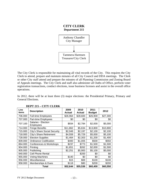# **CITY CLERK Department 215**



The City Clerk is responsible for maintaining all vital records of the City. This requires the City Clerk to attend, prepare and maintain minutes of all City Council and DDA meetings. The Clerk or other City staff attend and prepare the minutes of all Planning Commission and Zoning Board of Appeals meetings. The City Clerk and staff also administer all Oaths of Office, perform voter registration transactions, conduct elections, issue business licenses and assist in the overall office operations.

In 2012, there will be at least three (3) major elections: the Presidential Primary, Primary and General Elections.

| Line<br>items | <b>Description</b>                      | 2009<br><b>Actual</b> | 2010<br><b>Actual</b> | 2011<br><b>Budget</b> | 2012     |
|---------------|-----------------------------------------|-----------------------|-----------------------|-----------------------|----------|
| 706.000       | <b>Full-time Employees</b>              | \$26,964              | \$28,600              | \$26,900              | \$27,300 |
| 707.000       | Part-time Employees                     | \$0                   | \$0                   | \$0                   | \$0      |
| 707.100       | Salaries - Election<br><b>Employees</b> | \$934                 | \$2,784               | \$2,000               | \$5,000  |
| 714.000       | <b>Fringe Benefits</b>                  | \$11,862              | \$5,634               | \$13,800              | \$10,800 |
| 715.000       | City's Share Social Security            | \$2,049               | \$2,197               | \$2,100               | \$2,100  |
| 718.000       | City's Share Retirement                 | \$4,559               | \$5,729               | \$5,000               | \$5,100  |
| 728.000       | <b>Election Supplies</b>                | \$1,464               | \$2,303               | \$1,200               | \$1,400  |
| 809.000       | <b>Ordinance Codification</b>           | \$400                 | \$1,005               | \$500                 | \$550    |
| 864.000       | Conferences & Workshops                 | \$237                 | \$773                 | \$1,500               | \$1,500  |
| 904.000       | Printing                                | \$1,651               | \$262                 | \$2,000               | \$1,500  |
| 905.000       | Publishing                              | \$2,251               | \$5,900               | \$5,100               | \$5,000  |
| 940.000       | Cell Phone Rental                       |                       | \$200                 | \$0                   | \$0      |
| 955.000       | <b>Voting Machines</b>                  | \$140                 | \$0                   | \$0                   | \$0      |
| 956.000       | Miscellaneous                           | \$15                  | \$69                  | \$100                 | \$100    |
| 958.000       | Memberships & Dues                      | \$118                 | \$80                  | \$200                 | \$200    |
|               | Total                                   | \$52,644              | \$55,536              | \$60,400              | \$60,550 |

#### **DEPT 215 – CITY CLERK**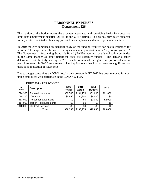## **PERSONNEL EXPENSES Department 226**

This section of the Budget tracks the expenses associated with providing health insurance and other post-employment benefits (OPEB) to the City's retirees. It also has previously budgeted for any costs associated with testing potential new employees and related personnel matters.

In 2010 the city completed an actuarial study of the funding required for health insurance for retirees. This expense has been covered by an annual appropriation, on a "pay as you go basis". The Governmental Accounting Standards Board (GASB) requires that this obligation be funded in the same manner as other retirement costs are currently funded. The actuarial study determined that the City starting in 2010 needs to set-aside a significant portion of current payroll to meet this GASB requirement. The implications of such an expense are significant and there is no indication of future relief.

Due to budget constraints the ICMA local match program in FY 2012 has been removed for nonunion employees who participate in the ICMA 457 plan.

| Line<br>items | <b>Description</b>            | 2009<br><b>Actual</b> | 2010<br><b>Actual</b> | 2011<br><b>Budget</b> | 2012     |
|---------------|-------------------------------|-----------------------|-----------------------|-----------------------|----------|
| 714.300       | Retiree Insurances            | \$80,548              | \$194,776             | \$61,000              | \$61,000 |
| 718.100       | <b>ICMA Match</b>             | \$5,850               | \$4,200               | \$8,000               | \$0      |
| 813.000       | <b>Personnel Evaluations</b>  | \$0                   | \$0                   | \$3,000               | \$2,000  |
| 814.000       | <b>Tuition Reimbursements</b> | \$0                   | \$0                   | \$0                   | \$0      |
| 818.000       | <b>Contract Services</b>      | \$0                   | \$0                   | \$0                   | \$0      |
|               | Total                         | \$86,398              | \$198,976             | \$72,000              | \$63,000 |

#### **DEPT 226 – PERSONNEL**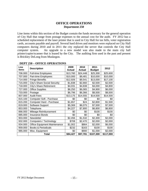## **OFFICE OPERATIONS Department 250**

Line items within this section of the Budget contain the funds necessary for the general operation of City Hall that range from postage expenses to the annual cost for the audit. FY 2012 has a scheduled replacement of the laser printer that is used in City Hall for tax bills, voter registration cards, accounts payable and payroll. Several hard drives and monitors were replaced on City Hall computers during 2010 and in 2011 the city replaced the server that controls the City Hall computer system. An upgrade to a new model was also made to the main city hall printer/copier/scanner that is leased by the City. The auditing firm used in the past and present is Brickley DeLong from Muskegon.

| Line<br>items | <b>Description</b>                  | 2009<br><b>Actual</b> | 2010<br><b>Actual</b> | 2011<br><b>Budget</b> | 2012      |
|---------------|-------------------------------------|-----------------------|-----------------------|-----------------------|-----------|
| 706.000       | <b>Full-time Employees</b>          | \$13,760              | \$24,448              | \$25,300              | \$25,600  |
| 707.000       | Part-time Employees                 | \$10,000              | \$9,481               | \$10,000              | \$10,000  |
| 714.000       | <b>Fringe Benefits</b>              | \$12,926              | \$9,541               | \$13,000              | \$17,100  |
| 715.000       | City's Share Social Security        | \$1,838               | \$2,660               | \$2,500               | \$2,500   |
| 718.000       | City's Share Retirement             | \$4,031               | \$4,838               | \$4,000               | \$4,800   |
| 727.000       | <b>Office Supplies</b>              | \$6,250               | \$6,065               | \$4,900               | \$6,000   |
| 733.000       | Postage                             | \$6,796               | \$6,366               | \$8,500               | \$8,500   |
| 807.000       | <b>Audit Fees</b>                   | \$13,175              | \$14,555              | \$14,500              | \$14,500  |
| 815.100       | Computer Soft - Purchase            | \$0                   | \$0                   | \$0                   | \$0       |
| 815.200       | Computer Hard - Purchase            | \$1,657               | \$24                  | \$2,800               | \$1,500   |
| 819.000       | Software Support                    | \$5,369               | \$6,075               | \$7,500               | \$7,500   |
| 853.000       | Telephone                           | \$4,227               | \$7,800               | \$6,800               | \$6,800   |
| 866.000       | Mileage Reimbursement               | \$0                   | \$0                   | \$100                 | \$100     |
| 885.000       | <b>Insurance Bonds</b>              | \$0                   | \$0                   | \$0                   | \$0       |
| 903.000       | Newsletter                          | \$2,456               | \$1,532               | \$2,300               | \$2,000   |
| 932.000       | Computers / Technology              | \$708                 | \$2,470               | \$2,000               | \$2,000   |
| 934.000       | <b>Office Equipment Maintenance</b> | \$1,002               | \$864                 | \$2,000               | \$6,000   |
| 959.000       | <b>Books &amp; Periodicals</b>      | \$232                 | \$163                 | \$100                 | \$100     |
| 985.000       | Misc. Equipment                     | \$0                   | \$900                 | \$1,000               | \$2,000   |
|               | Total                               | \$84,427              | \$97,781              | \$107,300             | \$117,000 |

#### **DEPT 250 – OFFICE OPERATIONS**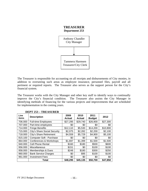

The Treasurer is responsible for accounting on all receipts and disbursements of City monies, in addition to overseeing such areas as employee insurance, personnel files, payroll and all pertinent or required reports. The Treasurer also serves as the support person for the City's financial system.

The Treasurer works with the City Manager and other key staff to identify ways to continually improve the City's financial condition. The Treasurer also assists the City Manager in identifying methods of financing for the various projects and improvements that are scheduled for implementation in the coming years.

| Line<br>items | <b>Description</b>           | 2009<br><b>Actual</b> | 2010<br><b>Actual</b> | 2011<br><b>Budget</b> | 2012     |
|---------------|------------------------------|-----------------------|-----------------------|-----------------------|----------|
| 706.000       | <b>Full-time Employees</b>   | \$27,295              | \$29,740              | \$26,900              | \$27,300 |
| 707.000       | Part-time employees          | \$0                   | \$0                   | \$0                   | \$0      |
| 714.000       | <b>Fringe Benefits</b>       | \$12,110              | \$5,530               | \$14,200              | \$10,800 |
| 715.000       | City's Share Social Security | \$2,075               | \$2,282               | \$2,200               | \$2,100  |
| 718.000       | City's Share Retirement      | \$4,559               | \$5,729               | \$4,900               | \$5,100  |
| 815.100       | Computer Soft - Purchase     | \$0                   | \$0                   | \$0                   | \$0      |
| 864.000       | Conferences & Workshops      | \$1,697               | \$1,399               | \$1,500               | \$1,500  |
| 940.000       | <b>Cell Phone Rental</b>     | \$160                 | \$180                 | \$500                 | \$600    |
| 956.000       | Miscellaneous                | \$151                 | \$0                   | \$100                 | \$100    |
| 958.000       | Memberships & Dues           | \$248                 | \$180                 | \$300                 | \$250    |
| 960.000       | <b>Bank Service Charges</b>  | \$0                   | \$95                  | \$100                 | \$100    |
| 961.000       | <b>Investment Fees</b>       | \$0                   | \$0                   | \$0                   | \$0      |
|               | Total                        | \$48,295              | \$45,135              | \$50,700              | \$47,850 |

#### **DEPT 253 – TREASURER**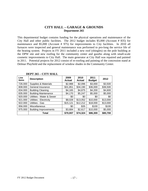## **CITY HALL – GARAGE & GROUNDS Department 265**

This departmental budget contains funding for the physical operations and maintenance of the City Hall and other public facilities. The 2012 budget includes \$5,000 (Account # 835) for maintenance and \$5,000 (Account # 975) for improvements to City facilities. In 2010 all furnaces were inspected and general maintenance was performed to pro-long the service life of the heating system. Projects in FY 2011 included a new roof (shingles) on the pole building at the DPW site and new roofing for the community center and gazebo along with small-scale cosmetic improvements to City Hall. The main generator at City Hall was repaired and painted in 2011. Potential projects for 2012 consist of re-roofing and painting of the concession stand at Delmar Playfield and the replacement of window shades in the Community Center.

| Line<br>items | <b>Description</b>           | 2009<br><b>Actual</b> | 2010<br><b>Actual</b> | 2011<br><b>Budget</b> | 2012     |
|---------------|------------------------------|-----------------------|-----------------------|-----------------------|----------|
| 726.000       | Supplies & Materials         | \$2,988               | \$2,096               | \$3,000               | \$3,500  |
| 808.000       | General Insurance            | \$31,851              | \$34,190              | \$36,000              | \$36,500 |
| 834.000       | <b>Building Cleaning</b>     | \$4,165               | \$4,875               | \$4,200               | \$4,600  |
| 835.000       | <b>Building Maintenance</b>  | \$4,170               | \$5,247               | \$5,000               | \$5,000  |
| 920.000       | Utilities - Water & Sewer    | \$0                   | \$0                   | \$0                   | \$0      |
| 921.000       | Utilities - Electricity      | \$8,028               | \$13,052              | \$10,000              | \$13,000 |
| 922.000       | Utilities - Gas              | \$15,121              | \$12,212              | \$18,000              | \$13,000 |
| 956.000       | Miscellaneous                | \$0                   | \$35                  | \$100                 | \$100    |
| 975.000       | <b>Building Improvements</b> | \$3,684               | \$2,617               | \$10,000              | \$5,000  |
|               | Total                        | \$70,007              | \$74,324              | \$86,300              | \$80,700 |

#### **DEPT 265 – CITY HALL**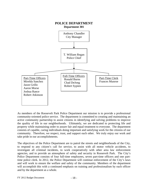

As members of the Roosevelt Park Police Department our mission is to provide a professional community-oriented police service. The department is committed to creating and maintaining an active community partnership to assist citizens in identifying and solving problems to improve the quality of life in our neighborhoods. Ultimately, we are dedicated to protecting life and property while maintaining order to assure fair and equal treatment to everyone. The department consists of capable, caring individuals doing important and satisfying work for the citizens of our community. Therefore, we respect, trust, and support each other. We truly enjoy our work and take pride in our accomplishments.

The objectives of the Police Department are to patrol the streets and neighborhoods of the City, to respond to any citizen's call for service, to assist with all motor vehicle accidents, to investigate all criminal incidents, to work cooperatively with other area law enforcement agencies, and to provide an atmosphere of safety and security in Roosevelt Park. The City's Police Department consists of four full-time employees, seven part-time officers and one parttime police clerk. In 2012, the Police Department will continue enforcement of the City's laws and will work to ensure the welfare and safety of the community. Members of the department will accomplish this with a continued emphasis on training and professionalism by each officer and by the department as a whole.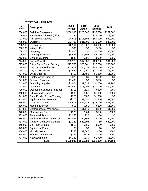| Line<br>items | <b>Description</b>                   | 2009<br><b>Actual</b> | 2010<br><b>Actual</b> | 2011<br><b>Budget</b> | 2012      |
|---------------|--------------------------------------|-----------------------|-----------------------|-----------------------|-----------|
| 706.000       | <b>Full-time Employees</b>           | \$238,990             | \$223,565             | \$237,500             | \$259,000 |
| 706.001       | Part-time Employees (office)         | \$0                   | \$0                   | \$15,000              | \$18,200  |
| 707.000       | Part-time Employees                  | \$70,508              | \$101,196             | \$67,000              | \$60,000  |
| 708.000       | Overtime                             | \$33,792              | \$41,500              | \$40,000              | \$40,000  |
| 708.100       | <b>Holiday Pay</b>                   | \$6,101               | \$6,002               | \$9,000               | \$11,000  |
| 708.200       | <b>Witness Fees</b>                  | \$30                  | \$0                   | \$100                 | \$0       |
| 708.300       | Longevity                            | \$5,000               | \$0                   | \$5,000               | \$5,500   |
| 709.000       | <b>Clothing Allowance</b>            | \$4,546               | \$2,304               | \$2,000               | \$2,000   |
| 713.000       | <b>Uniform Cleaning</b>              | \$549                 | \$201                 | \$600                 | \$300     |
| 714.000       | Fringe Benefits                      | \$65,170              | \$67,586              | \$84,200              | \$84,200  |
| 715.000       | <b>City's Share Social Security</b>  | \$27,783              | \$28,061              | \$26,200              | \$30,000  |
| 718.000       | City's Share Retirement              | \$47,409              | \$64,529              | \$59,000              | \$90,000  |
| 718.100       | City's ICMA Match                    | \$7,530               | \$10,260              | \$10,000              | \$8,000   |
| 727.000       | <b>Office Supplies</b>               | \$758                 | \$1,450               | \$1,200               | \$1,000   |
| 729.000       | Photographic Supplies                | \$75                  | \$0                   | \$100                 | \$0       |
| 741.000       | <b>Firearms Training</b>             | \$1,488               | \$0                   | \$500                 | \$0       |
| 742.000       | <b>Operating Supplies</b>            | \$1,024               | \$2,523               | \$1,000               | \$1,200   |
| 751.000       | Gas & Oil                            | \$17,422              | \$18,906              | \$21,000              | \$20,000  |
| 795.000       | <b>Operating Supplies (Vehicles)</b> | \$313                 | \$629                 | \$600                 | \$200     |
| 840.000       | <b>Education &amp; Training</b>      | \$588                 | \$281                 | \$1,000               | \$200     |
| 841.000       | <b>State Funded Police Training</b>  | \$275                 | \$800                 | \$1,000               | \$0       |
| 851.000       | <b>Equipment Maintenance</b>         | $-$278$               | \$1,056               | \$1,800               | \$1,000   |
| 855.000       | Central Dispatch                     | \$44,511              | \$37,715              | \$38,000              | \$38,000  |
| 856.000       | <b>Meeting Expense</b>               | \$50                  | \$281                 | \$200                 | \$1,000   |
| 864.000       | Conferences & Workshops              | \$0                   | \$1,140               | \$800                 | \$1,500   |
| 870.000       | Medical Lab Fee                      | \$525                 | \$864                 | \$500                 | \$500     |
| 882.000       | <b>Personnel Relations</b>           | \$2,250               | \$30                  | \$100                 | \$0       |
| 935.000       | Vehicle Repair & Maintenance         | \$12,067              | \$5,399               | \$6,000               | \$5,000   |
| 937.000       | Vehicle Purchase/Refurbish           | \$1,129               | \$49,393              | \$0                   | \$20,000  |
| 940.000       | <b>Cell Phone Rental</b>             | \$519                 | \$360                 | \$500                 | \$600     |
| 943.000       | <b>Equipment Rental</b>              | \$0                   | \$0                   | \$0                   | \$0       |
| 956.000       | Miscellaneous                        | \$358                 | \$1,886               | \$100                 | \$500     |
| 958.000       | Memberships & Dues                   | \$125                 | \$125                 | \$100                 | \$200     |
| 977.000       | New Equipment                        | \$6,232               | \$339                 | \$1,700               | \$5,000   |
|               | <b>Total</b>                         | \$596,839             | \$668,380             | \$631,800             | \$704,100 |

## **DEPT 301 – POLICE**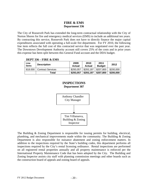## **FIRE & EMS Department 336**

The City of Roosevelt Park has extended the long-term contractual relationship with the City of Norton Shores for fire and emergency medical services (EMS) to include an additional ten years. By contracting this service, Roosevelt Park does not have to directly finance the major capital expenditures associated with operating a full-scale fire department. For FY 2010, the following line item reflects the full cost of this contracted service that was negotiated over the past year. The Downtown Development Authority account still covers 25% of the costs and in prior years this expense has been split between this General Fund account and the DDA budget.

| ------        |                          |                |                |                       |           |
|---------------|--------------------------|----------------|----------------|-----------------------|-----------|
| Line<br>items | <b>Description</b>       | 2009<br>Actual | 2010<br>Actual | 2011<br><b>Budget</b> | 2012      |
| 818,000       | <b>Contract Services</b> | \$293.057      | \$293.197      | \$207.800             | \$200,000 |
|               | Total                    | \$293,057      | \$293,197      | \$207,800             | \$200,000 |

#### **DEPT 336 – FIRE & EMS**





The Building & Zoning Department is responsible for issuing permits for building, electrical, plumbing, and mechanical improvements made within the community. The Building & Zoning Department is also responsible for nuisance abatement and zoning enforcement matters. In addition to the inspections required by the State's building codes, this department performs all inspections required by the City's rental licensing ordinance. Rental inspections are performed on all registered rental properties annually and all property maintenance is enforced per the International Property Maintenance Code that has been adopted by the City. The Building and Zoning Inspector assists city staff with planning commission meetings and other boards such as the construction board of appeals and zoning board of appeals.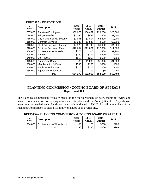| Line<br>items | <b>Description</b>                  | 2009<br>Actual | 2010<br><b>Actual</b> | 2011<br><b>Budget</b> | 2012     |
|---------------|-------------------------------------|----------------|-----------------------|-----------------------|----------|
| 707.000       | Part-time Employees                 | \$32,073       | \$36,459              | \$28,000              | \$28,000 |
| 714.000       | <b>Fringe Benefits</b>              | \$1,090        | \$442                 | \$800                 | \$1,500  |
| 715.000       | City's Share Social Security        | \$2,961        | \$2,814               | \$2,400               | \$2,200  |
| 818.000       | <b>Contract Services</b>            | \$1,983        | \$1,545               | \$500                 | \$2,000  |
| 818.500       | <b>Contract Services - Electric</b> | \$7,579        | \$5,748               | \$6,000               | \$4,000  |
| 818.600       | Contract Services - Plumb           | \$16,604       | \$11,871              | \$12,800              | \$11,000 |
| 864.000       | Conferences & Workshops             | \$375          | \$10                  | \$400                 | \$1,200  |
| 904.000       | Printing                            | \$349          | \$274                 | \$200                 | \$200    |
| 940.000       | Cell Phone                          | \$519          | \$360                 | \$500                 | \$600    |
| 943.000       | <b>Equipment Rental</b>             | \$0            | \$1,000               | \$1,000               | \$1,000  |
| 958.000       | Memberships & Dues                  | \$530          | \$260                 | \$300                 | \$300    |
| 959.000       | <b>Books &amp; Periodicals</b>      | \$210          | \$275                 | \$200                 | \$400    |
| 985.000       | <b>Equipment Purchases</b>          | \$0            | \$0                   | \$0                   | \$0      |
|               | Total                               | \$64,273       | \$61,058              | \$53,100              | \$52,400 |

#### **DEPT 387 – INSPECTIONS**

## **PLANNING COMMISSION / ZONING BOARD OF APPEALS Department 400**

The Planning Commission typically meets on the fourth Monday of every month to review and make recommendations on zoning issues and site plans and the Zoning Board of Appeals will meet on an as-needed basis. Funds are once again budgeted in FY 2012 to allow members of the Planning Commission to attend training workshops upon availability.

| Line<br>items | <b>Description</b>                | 2009<br><b>Actual</b> | 2010<br>Actual | 2011<br><b>Budget</b> | 2012  |
|---------------|-----------------------------------|-----------------------|----------------|-----------------------|-------|
|               | 864.000   Conferences & Workshops | \$0                   | \$0            | \$200                 | \$200 |
|               | Total                             | \$0                   | \$200          | \$200                 | \$200 |

**DEPT 400 – PLANNING COMMISSION & ZONING BOARD OF APPEALS**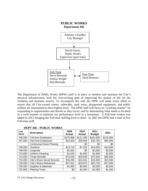

The Department of Public Works (DPW) staff is in place to monitor and maintain the City's physical infrastructure; with the over-arching goal of improving the quality of life for the residents and business owners. To accomplish this end, the DPW will make every effort to ensure that all City-owned streets, sidewalks, park areas, playground equipment, and public utilities are maintained to their highest level. The DPW staff will focus on "working smarter" by responding to opportunities and threats as they occur; and by determining what needs to be done in a swift manner to maintain our performance level to a maximum. A Full-time worker was added in 2011 bringing the Full-time staffing level to three. In 2007 the DPW had a total of five Full-time staff.

| Line<br>items | <b>Description</b>                  | 2009<br><b>Actual</b> | 2010<br><b>Actual</b> | 2011<br><b>Budget</b> | 2012      |
|---------------|-------------------------------------|-----------------------|-----------------------|-----------------------|-----------|
| 706.000       | <b>Full-time Employees</b>          | \$175,868             | \$111,190             | \$161,500             | \$115,000 |
| 707.000       | Part-time Employees                 | \$32,503              | \$46,608              | \$32,700              | \$65,000  |
|               | <b>Contractual Snow Plowing</b>     |                       | \$0                   | \$0                   | \$0       |
| 708.000       | Overtime                            | \$13,719              | \$7,325               | \$14,000              | \$14,000  |
| 708.003       | Longevity                           | \$1,661               | \$0                   | \$2,000               | \$2,500   |
| 713.000       | Uniform Cleaning                    | \$1,645               | \$1,684               | \$1,600               | \$2,000   |
| 714.000       | <b>Fringe Benefits</b>              | \$73,250              | \$29,839              | \$75,500              | \$60,000  |
| 715.000       | <b>City's Share Social Security</b> | \$16,296              | \$13,441              | \$15,500              | \$15,500  |
| 718.000       | City's Share Retirement             | \$27,021              | \$23,874              | \$23,700              | \$27,000  |
| 726.000       | Supplies & Materials                | \$1,960               | \$3,940               | \$2,000               | \$2,500   |
| 732.000       | <b>Planting Trees</b>               | \$0                   | \$1,450               | \$1,000               | \$1,400   |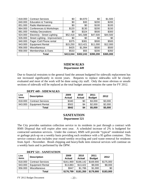| 818.000 | <b>Contract Services</b>        | \$0       | \$4,970   | \$0       | \$1,500   |
|---------|---------------------------------|-----------|-----------|-----------|-----------|
| 840.000 | <b>Education &amp; Training</b> | \$0       | \$30      | \$200     | \$200     |
| 851.000 | Radio Maintenance               | \$0       | \$0       | \$100     | \$100     |
| 864.000 | Conferences & Workshops         | \$120     | \$130     | \$200     | \$150     |
| 881.000 | <b>Holiday Decorations</b>      | \$0       | \$324     | \$500     | \$300     |
| 924.000 | Electricty - Street Lighting    | \$52,418  | \$41,588  | \$47,500  | \$44,500  |
| 926.000 | Street Lighting - Improvement   | \$0       | \$0       | \$0       | \$0       |
| 940.000 | Pager /Cell Phone rental        | \$375     | \$381     | \$500     | \$500     |
| 943.000 | <b>Equipment Rental</b>         | \$15,250  | \$13,421  | \$11,000  | \$12,000  |
| 956.000 | Miscellaneous                   | \$425     | \$1,994   | \$500     | \$500     |
| 958.000 | <b>Memberships &amp; Dues</b>   | \$533     | \$55      | \$200     | \$350     |
|         | Total                           | \$413,044 | \$302,243 | \$390,200 | \$365,000 |

#### **SIDEWALKS Department 449**

Due to financial restraints to the general fund the amount budgeted for sidewalk replacement has not increased significantly in recent years. Requests to replace sidewalks will be closely evaluated and most of the work will be done using city staff. Only the more obvious or unsafe sections of sidewalk will be replaced as the total budget amount remains the same for FY 2012.

**DEPT 449 - SIDEWALKS** 

| Line<br>items | <b>Description</b>       | 2009<br><b>Actual</b> | 2010<br><b>Actual</b> | 2011<br><b>Budget</b> | 2012    |
|---------------|--------------------------|-----------------------|-----------------------|-----------------------|---------|
| 818,000       | <b>Contract Services</b> | \$340                 | \$0                   | \$3,000               | \$3,000 |
| 943.000       | <b>Equipment Rental</b>  | \$502                 | \$4                   | \$2,000               | \$2,000 |
|               | Total                    | \$842                 | \$4                   | \$5,000               | \$5,000 |

## **SANITATION Department 521**

The City provides sanitation collection service to its residents in part through a contract with RMS Disposal that will expire after next year. A scheduled increase of 2% is budgeted for contracted sanitation services. Under the contract, RMS will provide "typical" residential trash or garbage pick-up on a weekly basis providing each residence with a 95 gallon container. This service contract also includes year round weekly recycling and yard waste removal for residents from April - November. Brush chipping and heavy/bulk item removal services will continue on a weekly basis and is performed by the DPW.

|               | <u>.</u>                 |                       |                       |                       |           |
|---------------|--------------------------|-----------------------|-----------------------|-----------------------|-----------|
| Line<br>items | <b>Description</b>       | 2009<br><b>Actual</b> | 2010<br><b>Actual</b> | 2011<br><b>Budget</b> | 2012      |
| 818.000       | <b>Contract Services</b> | \$161,969             | \$166,142             | \$169,900             | \$175,000 |
| 943.000       | <b>Equipment Rental</b>  | \$13,883              | \$13,422              | \$9,000               | \$8,000   |
| 956.000       | Miscellaneous            | \$947                 | \$1,786               | \$1,000               | \$0       |
|               | Total                    | \$176,799             | \$181,350             | \$179,900             | \$183,000 |

#### **DEPT 521 - SANITATION**

 $FY$  2012 Budget Document  $-23$  -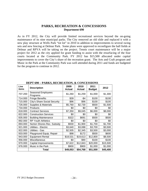#### **PARKS, RECREATION & CONCESSIONS Department 690**

As in FY 2012, the City will provide limited recreational services beyond the on-going maintenance of its nine municipal parks. The City removed an old slide and replaced it with a new play structure at Wells Park "tot lot" in 2010 in addition to improvements to several swing sets and new fencing at Delmar Park. Some plans were approved to reconfigure the ball fields at Delmar and RPYA will be taking on the project. Tennis court maintenance will be a major project for 2012 as the city applied for grant funding to assist with the resurfacing of the four courts located at the Community Park. FY 2012 has \$15,500 allocated under capital improvements to cover the City's share of the recreation grant. The Arts and Craft program and Music in the Park at the Community Park was well attended during 2011 and funds are budgeted for the program to continue in 2012.

|               | <i>DL</i> L 1 V/V<br>THURS, RECREATION, & CONCEDITORS |                       |                       |                       |          |  |  |
|---------------|-------------------------------------------------------|-----------------------|-----------------------|-----------------------|----------|--|--|
| Line<br>items | <b>Description</b>                                    | 2009<br><b>Actual</b> | 2010<br><b>Actual</b> | 2011<br><b>Budget</b> | 2012     |  |  |
| 707.200       | Seasonal Employees<br>Programs                        | \$1,260               | \$1,259               | \$1,000               | \$1,300  |  |  |
| 714.000       | <b>Fringe Benefits</b>                                | \$39                  | -\$4                  | \$100                 | \$100    |  |  |
| 715.000       | City's Share Social Security                          | \$96                  | \$96                  | \$100                 | \$100    |  |  |
| 726.000       | Supplies & Materials                                  | \$5,760               | \$2,730               | \$500                 | \$1,500  |  |  |
| 734.000       | Products                                              | \$0                   | \$0                   | \$0                   | \$0      |  |  |
| 818.000       | <b>Contract Services</b>                              | \$7,350               | \$9,045               | \$6,000               | \$8,000  |  |  |
| 822.000       | <b>Construction Services</b>                          | \$0                   | \$0                   | \$0                   | \$0      |  |  |
| 835.000       | <b>Building Maintenance</b>                           | \$322                 | \$691                 | \$500                 | \$500    |  |  |
| 892.000       | <b>RP Youth Athletics</b>                             | \$0                   | \$0                   | \$0                   | \$0      |  |  |
| 893.000       | Norton Shores Rec. Subsidy                            | \$930                 | \$1,900               | \$1,700               | \$1,700  |  |  |
| 921.000       | Utilities - Electric                                  | \$3,640               | \$3,088               | \$3,700               | \$3,500  |  |  |
| 922.000       | Utilities - Gas                                       | \$2,505               | \$2,345               | \$3,500               | \$3,000  |  |  |
| 933.000       | Playground Equip. Repair                              | \$98                  | \$172                 | \$500                 | \$600    |  |  |
| 943.000       | <b>Equipment Rental</b>                               | \$18,531              | \$19,613              | \$12,800              | \$8,500  |  |  |
| 956.000       | Miscellaneous                                         | \$0                   | \$90                  | \$100                 | \$100    |  |  |
| 970.000       | Capital Improvements                                  | \$7,622               | \$12,843              | \$20,000              | \$15,500 |  |  |
| 976.000       | Music in the Park                                     | \$900                 | \$900                 | \$1,000               | \$1,000  |  |  |
|               | Total                                                 | \$49,053              | \$54,768              | \$51,500              | \$45,400 |  |  |

**DEPT 690 – PARKS, RECREATION, & CONCESSIONS**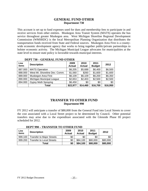## **GENERAL FUND OTHER Department 730**

This account is set up to fund expenses used for dues and membership fees to participate in and receive services from other entities. Muskegon Area Transit System (MATS) operates the bus service throughout greater Muskegon area. West Michigan Shoreline Regional Development Commission (WMSRDC) is the local Metropolitan Planning Organization that distributes the transportation funds received from State and Federal sources. Muskegon Area First is a countywide economic development agency that works to bring together public/private partnerships to bolster economic activity. The Michigan Municipal League advocates for municipalities at the state level to ensure state policy is favorable towards municipal interests.

| Line<br>items | <b>Description</b>            | 2009<br><b>Actual</b> | 2010<br><b>Actual</b> | 2011<br><b>Budget</b> | 2012     |
|---------------|-------------------------------|-----------------------|-----------------------|-----------------------|----------|
| 887.000       | <b>MATS Operation</b>         | \$6,205               | \$5,688               | \$6,400               | \$6,500  |
| 888.000       | West MI. Shoreline Dev. Comm. | \$1,560               | \$260                 | \$1,600               | \$1,600  |
| 889.000       | Muskegon Area First           | \$6,109               | \$6,109               | \$6,200               | \$6,350  |
| 890.000       | Michigan Municipal League     | \$2,653               | \$2,403               | \$2,500               | \$2,500  |
| 894.000       | <b>Gypsy Moth Spraying</b>    | \$6,450               | \$0                   | \$0                   | \$0      |
|               | Total                         | \$22,977              | \$14,460              | \$16,700              | \$16,950 |

#### **DEPT 730 – GENERAL FUND OTHER**

## **TRANSFER TO OTHER FUND Department 990**

FY 2012 will anticipate a transfer of \$80,000 from the General Fund into Local Streets to cover the cost associated with a Local Street project to be determined by Council. Other potential transfers may arise due to the expenditure associated with the Glenside Phase III project scheduled for 2012.

| Line<br>items | <b>Description</b>               | 2009<br><b>Actual</b> | 2010<br><b>Actual</b> | 2011<br><b>Budget</b> | 2012     |
|---------------|----------------------------------|-----------------------|-----------------------|-----------------------|----------|
| 999.100       | <b>Transfer to Major Streets</b> | \$0                   | \$0                   | \$0                   | \$0      |
| 999.200       | Transfer to Local Streets        | \$0                   | \$84,100              | \$80,000              | \$80,000 |
|               | Total                            | \$0                   | \$84,100              | \$80,000              | \$80,000 |

#### **DEPT 990 – TRANSFER TO OTHER FUND**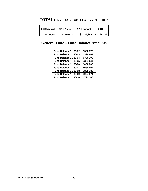# **TOTAL GENERAL FUND EXPENDITURES**

| 2009 Actual | 2010 Actual | 2011 Budget | 2012        |
|-------------|-------------|-------------|-------------|
| \$2,232,367 | \$2,390,927 | \$2,185,800 | \$2,196,135 |

# **General Fund - Fund Balance Amounts**

| Fund Balance 11-30-02 | \$386,378 |
|-----------------------|-----------|
| Fund Balance 11-30-03 | \$320,667 |
| Fund Balance 11-30-04 | \$326,190 |
| Fund Balance 11-30-05 | \$364,044 |
| Fund Balance 11-30-06 | \$480,866 |
| Fund Balance 11-30-07 | \$660,864 |
| Fund Balance 11-30-08 | \$836,139 |
| Fund Balance 11-30-09 | \$924,371 |
| Fund Balance 11-30-10 | \$792,300 |
|                       |           |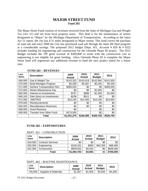## **MAJOR STREET FUND Fund 202**

The Major Street Fund consists of revenues received from the State of Michigan Gas and Weight Tax (Act 51) and not from local property taxes. This fund is for the maintenance of streets designated as "Major" by the Michigan Department of Transportation. According to the latest Act 51 report, the city has 4.51 miles designated as Major streets. This fund covers the purchase of road salt and since 2008 the City has purchased road salt through the State MI Deal program at a considerable savings. The proposed 2012 budget (Dept. 451, Account # 820  $\&$  # 822) includes funding for engineering and construction for the Glenside Phase III project. The 2012 Budget includes the TIP grant revenue of \$369,000 to assist with the construction cost as engineering is not eligible for grant funding. Once Glenside Phase III is complete the Major Street fund will regenerate any additional revenue to fund the next project slated for a future year.

| Line<br>items | <b>Description</b>              | 2009<br><b>Actual</b> | 2010<br><b>Actual</b> | 2011<br><b>Budget</b> | 2012      |
|---------------|---------------------------------|-----------------------|-----------------------|-----------------------|-----------|
| 569.000       | Gas & Weight Tax                | \$143,252             | \$143,419             | \$142,900             | \$141,500 |
| 570.000       | <b>Build Michigan Program</b>   | \$5,289               | \$5,287               | \$5,200               | \$5,250   |
| 571.000       | Surface Transportation Rev.     | \$696,930             | \$0                   | \$0                   | \$369,000 |
| 572.000       | Winter Maintenance Pay          | \$0                   | \$0                   | \$1,000               | \$0       |
| 665.000       | Interest on Investments         | \$797                 | \$886                 | \$1,500               | \$1,000   |
| 665.100       | Gain (loss) on investments      | $-$238$               | \$511                 | \$0                   | \$0       |
| 672.000       | (METRO)                         | \$10,245              | \$10,493              | \$10,100              | \$10,000  |
| 678.000       | Reimbursements                  | \$0                   | \$0                   | \$0                   | \$0       |
| 694.000       | <b>Miscellaneous Revenues</b>   | \$0                   | \$0                   | \$0                   | \$0       |
| 698.000       | <b>Grant Revenue</b>            | \$0                   |                       | \$0                   | \$0       |
| 699.000       | <b>Transfer from Other Fund</b> | \$175,000             |                       | \$0                   | \$0       |
|               | Total                           | \$1,031,275           | \$160,595             | \$160,700             | \$526,750 |

#### **FUND 202 – REVENUES**

#### **FUND 202 – EXPENDITURES**

|  | DEPT. 451 - CONSTRUCTION |
|--|--------------------------|
|--|--------------------------|

| Line<br>items | <b>Description</b>       | 2009<br><b>Actual</b> | 2010<br><b>Actual</b> | 2011<br><b>Budget</b> | 2012      |
|---------------|--------------------------|-----------------------|-----------------------|-----------------------|-----------|
| 818.000       | <b>Contract Services</b> | \$0                   | \$0                   | \$0                   | \$0       |
| 820.000       | Engineering              | \$135,201             | \$950                 | \$45,300              | \$68,000  |
| 822.000       | Construction             | \$949,552             | \$4,032               | \$0                   | \$638,000 |
|               | Total                    | \$1,084,753           | \$4,981               | \$0                   | \$706,000 |

#### DEPT. 463 – ROUTINE MAINTENANCE

| Line<br>items | <b>Description</b>   | 2009<br>Actual | 2010<br>Actual | 2011<br><b>Budget</b> | 2012    |
|---------------|----------------------|----------------|----------------|-----------------------|---------|
| 726.000       | Supplies & Materials | \$1,367        | \$1,056        | \$3,500               | \$4,200 |

 $FY$  2012 Budget Document  $-27 -$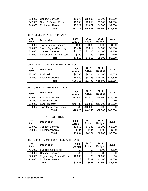|         | 818.000   Contract Services      | \$1.078  | \$18,606 | \$2,500              | \$2,500 |
|---------|----------------------------------|----------|----------|----------------------|---------|
|         | 942.000   Office & Garage Rental | \$3,850  | \$3,850  | \$3,900              | \$4,000 |
| 943.000 | <b>Equipment Rental</b>          | \$5.021  | \$3.071  | \$4.500              | \$4,500 |
|         | Total                            | \$11,316 | \$26,583 | $$14,400$   \$15,200 |         |

#### DEPT. 474 – TRAFFIC SERVICES

| Line<br>items | <b>Description</b>                 | 2009<br><b>Actual</b> | 2010<br><b>Actual</b> | 2011<br><b>Budget</b> | 2012    |
|---------------|------------------------------------|-----------------------|-----------------------|-----------------------|---------|
| 730.000       | <b>Traffic Control Supplies</b>    | \$595                 | \$230                 | \$500                 | \$500   |
| 775.000       | <b>Traffic Signals-Electricity</b> | \$3,432               | \$3,814               | \$4,000               | \$2,600 |
| 818.000       | <b>Contract Services</b>           | \$2,278               | \$3,308               | \$3,000               | \$2,750 |
| 925.000       | Signal Charges - Railroad          | \$760                 | \$0                   | \$800                 | \$760   |
|               | Total                              | \$7,065               | \$7,352               | \$8,300               | \$6,610 |

## DEPT. 478 – WINTER MAINTENANCE

| Line<br>items | <b>Description</b>      | 2009<br><b>Actual</b> | 2010<br>Actual | 2011<br><b>Budget</b> | 2012     |
|---------------|-------------------------|-----------------------|----------------|-----------------------|----------|
| 731.000       | <b>Rock Salt</b>        | \$4,766               | \$4,564        | \$3,000               | \$4,555  |
| 943.000       | <b>Equipment Rental</b> | \$15,950              | \$8,228        | \$15,000              | \$11,500 |
|               | Total                   | \$20,716              | \$12,792       | \$18,000              | \$16,055 |

#### DEPT. 484 - ADMINISTRATION

| Line<br>items | <b>Description</b>               | 2009<br><b>Actual</b> | 2010<br><b>Actual</b> | 2011<br><b>Budget</b> | 2012     |
|---------------|----------------------------------|-----------------------|-----------------------|-----------------------|----------|
| 825.000       | <b>Administrative Fee</b>        | \$31,586              | \$13,814              | \$15,500              | \$15,000 |
| 961.000       | <b>Investment Fee</b>            | \$0                   | \$0                   | \$0                   | \$0      |
| 990.000       | Labor Transfer                   | \$46,439              | \$22,536              | \$42,000              | \$50,000 |
| 990.002       | <b>Transfer to Local Streets</b> | \$0                   | \$10,000              | \$5,000               | \$0      |
|               | Total                            | \$78,025              | \$46,350              | \$62,500              | \$65,000 |

#### DEPT. 487 – CARE OF TREES

| Line<br>items | <b>Description</b>       | 2009<br><b>Actual</b> | 2010<br><b>Actual</b> | 2011<br><b>Budget</b> | 2012    |
|---------------|--------------------------|-----------------------|-----------------------|-----------------------|---------|
| 818.000       | <b>Contract Services</b> | \$2,850               | \$4,230               | \$5,500               | \$5,000 |
| 943.000       | <b>Equipment Rental</b>  | \$784                 | \$144                 | \$500                 | \$500   |
|               | Total                    | \$3,634               | \$4,374               | \$6,000               | \$5,500 |

#### DEPT. 488 – CONSTRUCTION & REPAIR

| Line<br>items | <b>Description</b>         | 2009<br><b>Actual</b> | 2010<br><b>Actual</b> | 2011<br><b>Budget</b> | 2012    |
|---------------|----------------------------|-----------------------|-----------------------|-----------------------|---------|
| 726.000       | Supplies & Materials       | \$0                   | \$0                   | \$200                 | \$500   |
| 818.000       | <b>Contract Services</b>   | \$0                   | \$0                   | \$0                   | \$0     |
| 820.000       | Engineering (Permits/Fees) | \$2,000               | \$0                   | \$2,600               | \$0     |
| 943.000       | <b>Equipment Rental</b>    | \$23                  | \$561                 | \$1,000               | \$1,000 |
|               | Total                      | \$2,023               | \$561                 | \$3,800               | \$1,500 |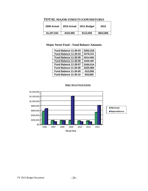| 2009 Actual | 2010 Actual | 2011 Budget | 2012      |
|-------------|-------------|-------------|-----------|
| \$1,207,532 | \$102,992   | \$113,000   | \$815,865 |

## **TOTAL MAJOR STREETS EXPENDITURES**

## **Major Street Fund – Fund Balance Amounts**

| Fund Balance 11-30-03 | \$202,018  |
|-----------------------|------------|
| Fund Balance 11-30-04 | \$176,311  |
| Fund Balance 11-30-05 | \$214,562  |
| Fund Balance 11-30-06 | \$100,487  |
| Fund Balance 11-30-07 | \$160,514  |
| Fund Balance 11-30-08 | \$220,984  |
| Fund Balance 11-30-09 | $-$13,909$ |
| Fund Balance 11-30-10 | \$43,693   |
|                       |            |



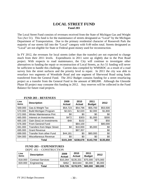## **LOCAL STREET FUND Fund 203**

The Local Street Fund consists of revenues received from the State of Michigan Gas and Weight Tax (Act 51). This fund is for the maintenance of streets designated as "Local" by the Michigan Department of Transportation. Due to the primary residential character of Roosevelt Park the majority of our streets fall into the "Local" category with 9.49 miles total. Streets designated as "Local" are not eligible for State or Federal grant money used for reconstruction.

In FY 2012, the revenues for local streets (other than the transfer) are not expected to change much from their 2011 levels. Expenditures in 2011 were up slightly due to the Post Road project. With respects to road maintenance, the City will continue to investigate other alternatives to funding the repair or reconstruction of Local Streets, as Act 51 funding will never be sufficient to handle this challenge. Current data compiled by WMSRDC as a result of a road survey lists the street surfaces and the priority level to repair. In 2011 the city was able to resurface two segments of Woodside Road and one segment of Sherwood Road using funds transferred from the General Fund. The 2012 Budget contains funding for a street resurfacing project as a transfer from the General Fund in the amount of \$80,000. Although the Glenside Phase III project may consume this funding in 2012. Any reserves will be collected in the Fund Balance for future road projects.

| Line<br>items | <b>Description</b>                 | 2009<br><b>Actual</b> | 2010<br><b>Actual</b> | 2011<br><b>Budget</b> | 2012      |
|---------------|------------------------------------|-----------------------|-----------------------|-----------------------|-----------|
| 569.000       | Gas & Weight Tax                   | \$54,723              | \$54,796              | \$55,700              | \$53,500  |
| 570.000       | <b>Build Michigan Program</b>      | \$2,021               | \$2,020               | \$2,000               | \$1,800   |
| 572.000       | Winter Maintenance Pmt             | \$0                   | \$0                   | \$0                   | \$0       |
| 665.000       | Interest on Investments            | \$472                 | \$303                 | \$1,000               | \$300     |
| 665.100       | Gain (loss) on investments         | -\$48                 | \$102                 | \$0                   | \$50      |
| 676.300       | From General Fund                  |                       | \$84,100              |                       | \$80,000  |
| 691.000       | <b>Transfers from Major Street</b> | \$0                   | \$10,000              | \$5,000               | \$0       |
| 695.000       | <b>Grant Revenue</b>               |                       | \$87,357              |                       | \$0       |
| 699.000       | Transfer from other Fund           | \$44,181              | \$0                   | \$80,000              | \$0       |
| 594.000       | Miscellaneous Revenue              | \$0                   | \$0                   | \$0                   | \$0       |
|               | Total                              | \$101,349             | \$238,678             | \$143,700             | \$135,650 |

#### **FUND 203 – REVENUES**

#### **FUND 203 – EXPENDITURES**  DEPT. 451 – CONSTRUCTION

| Line<br>items | <b>Description</b>       | 2009<br>Actual | 2010<br><b>Actual</b> | 2011<br><b>Budget</b> | 2012     |
|---------------|--------------------------|----------------|-----------------------|-----------------------|----------|
| 818.000       | <b>Contract Services</b> | \$10,264       | \$135.331             | \$75,000              | \$75,000 |
| 820.000       | Engineering              | \$462          | \$43,644              | \$5,000               | \$5,000  |
|               | Total                    | \$10.726       | \$178,975             | \$80,000              | \$80,000 |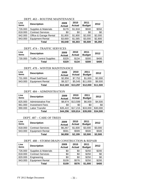| Line<br>items | <b>Description</b>       | 2009<br><b>Actual</b> | 2010<br><b>Actual</b> | 2011<br><b>Budget</b> | 2012    |
|---------------|--------------------------|-----------------------|-----------------------|-----------------------|---------|
| 726.000       | Supplies & Materials     | \$179                 | \$1,918               | \$500                 | \$550   |
| 818.000       | <b>Contract Services</b> | \$0                   | \$0                   | \$0                   | \$0     |
| 942.000       | Office & Garage Rental   | \$1,800               | \$1,800               | \$2,000               | \$2,000 |
| 943.000       | <b>Equipment Rental</b>  | \$3,669               | \$1,585               | \$3,000               | \$2,800 |
|               | Total                    | \$5,648               | \$5,303               | \$5,500               | \$5,350 |

#### DEPT. 463 – ROUTINE MAINTENANCE

## DEPT. 474 – TRAFFIC SERVICES

| Line<br>items | <b>Description</b>              | 2009<br><b>Actual</b> | 2010<br>Actual | 2011<br><b>Budget</b> | 2012  |
|---------------|---------------------------------|-----------------------|----------------|-----------------------|-------|
| 730.000       | <b>Traffic Control Supplies</b> | \$329                 | \$134          | \$300                 | \$400 |
|               | Total                           | \$329                 | \$134          | \$300                 | \$400 |

#### DEPT. 478 – WINTER MAINTENANCE

| Line<br>items | <b>Description</b>      | 2009<br><b>Actual</b> | 2010<br><b>Actual</b> | 2011<br><b>Budget</b> | 2012     |
|---------------|-------------------------|-----------------------|-----------------------|-----------------------|----------|
| 731.000       | Road Salt/Sand          | \$2,856               | \$7,752               | \$1,000               | \$2,000  |
| 943.000       | <b>Equipment Rental</b> | \$9,327               | \$5,545               | \$11,000              | \$9,500  |
|               | Total                   | \$12,183              | \$13,297              | \$12,000              | \$11,500 |

#### DEPT. 484 – ADMINISTRATION

| Line<br>items | <b>Description</b>        | 2009<br><b>Actual</b> | 2010<br><b>Actual</b> | 2011<br><b>Budget</b> | 2012     |
|---------------|---------------------------|-----------------------|-----------------------|-----------------------|----------|
| 825.000       | <b>Administrative Fee</b> | \$8,874               | \$13,599              | \$6,000               | \$4,500  |
| 961.000       | <b>Investment Fees</b>    | \$0                   | \$0                   | \$0                   | \$0      |
| 990.000       | ∟abor Transfer            | \$35,422              | \$17,215              | \$33,000              | \$30,000 |
|               | Total                     | \$44,296              | \$30,814              | \$39,000              | \$34,500 |

#### DEPT. 487 – CARE OF TREES

| Line<br>items | <b>Description</b>       | 2009<br><b>Actual</b> | 2010<br><b>Actual</b> | 2011<br><b>Budget</b> | 2012    |
|---------------|--------------------------|-----------------------|-----------------------|-----------------------|---------|
| 818.000       | <b>Contract Services</b> | \$6,267               | \$1,600               | \$3,000               | \$3,000 |
| 943.000       | <b>Equipment Rental</b>  | \$591                 | \$599                 | \$500                 | \$500   |
|               | Total                    | \$6,858               | \$2,199               | \$3,500               | \$3,500 |

#### DEPT. 488 – STORM DRAIN CONSTRUCTION & REPAIR

| Line<br>items | <b>Description</b>       | 2009<br><b>Actual</b> | 2010<br><b>Actual</b> | 2011<br><b>Budget</b> | 2012  |
|---------------|--------------------------|-----------------------|-----------------------|-----------------------|-------|
| 726.000       | Supplies & Materials     | \$0                   | \$0                   | \$250                 | \$200 |
| 818.000       | <b>Contract Services</b> | \$0                   | \$0                   | \$250                 | \$0   |
| 820.000       | Engineering              | \$0                   | \$0                   | \$250                 | \$0   |
| 943.000       | <b>Equipment Rental</b>  | \$109                 | \$576                 | \$250                 | \$200 |
|               | Total                    | \$109                 | \$576                 | \$1,000               | \$400 |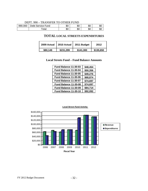#### DEPT. 990 – TRANSFER TO OTHER FUND

|         | .<br>.            |          |           |     |      |
|---------|-------------------|----------|-----------|-----|------|
| 990.000 | Debt Service Fund | υU       | ድ ፖ<br>ъc | \$0 | JD L |
|         | otal              | ሶሳ<br>ΦU | \$0       | \$0 | υU   |

#### **TOTAL LOCAL STREETS EXPENDITURES**

| 2009 Actual | 2010 Actual | 2011 Budget | 2012      |
|-------------|-------------|-------------|-----------|
| \$80,149    | \$231.299   | \$141.300   | \$135,650 |

#### **Local Streets Fund – Fund Balance Amounts**

| Fund Balance 11-30-03 | \$48,454 |
|-----------------------|----------|
| Fund Balance 11-30-04 | \$50,356 |
| Fund Balance 11-30-05 | \$49,276 |
| Fund Balance 11-30-06 | \$68,874 |
| Fund Balance 11-30-07 | \$74,697 |
| Fund Balance 11-30-08 | \$74,697 |
| Fund Balance 11-30-09 | \$84,714 |
| Fund Balance 11-30-10 | \$92,092 |
|                       |          |



#### **Local Street Fund Activity**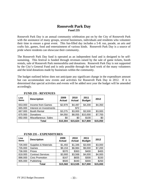## **Roosevelt Park Day Fund 235**

Roosevelt Park Day is an annual community celebration put on by the City of Roosevelt Park with the assistance of many groups, several businesses, individuals and residents who volunteer their time to ensure a great event. This fun-filled day includes a 5-K run, parade, an arts and crafts fair, games, food and entertainment of various kinds. Roosevelt Park Day is a source of pride where residents can showcase their community.

The Roosevelt Park Day fund is operated as an independent fund and is designed to be selfsustaining. This festival is funded through revenues raised by the sale of game tickets, booth rentals, sale of Roosevelt Park memorabilia and donations. Roosevelt Park Day is not supported by the City's General Fund and is only possible through the hard work of the many volunteers and the kind donations made by businesses within the community.

The budget outlined below does not anticipate any significant change in the expenditure amount but can accommodate new events and activities for Roosevelt Park Day in 2012. If it is determined that special activities and events will be added next year the budget will be amended accordingly.

| Line<br>items | <b>Description</b>      | 2009<br><b>Actual</b> | 2010<br><b>Actual</b> | 2011<br><b>Budget</b> | 2012     |
|---------------|-------------------------|-----------------------|-----------------------|-----------------------|----------|
| 653.000       | Income from Games       | \$2,979               | \$4,497               | \$4,200               | \$4,350  |
| 665.000       | Interest on Investments |                       | \$72                  |                       |          |
| 667.000       | <b>Booth Rental</b>     | \$3,275               | \$3,000               | \$3,500               | \$3,000  |
| 675.000       | Donations               | \$4,050               | \$8,055               | \$10,000              | \$7,700  |
| 692.000       | Miscellaneous Sales     | \$0                   | \$0                   | \$100                 | \$0      |
|               | Total                   | \$10,304              | \$15,624              | \$17,800              | \$15,050 |

#### **FUND 235 - REVENUES**

#### **FUND 235 – EXPENDITURES**

| Line<br>items | <b>Description</b>              | 2009<br>Actual | 2010<br><b>Actual</b> | 2011<br><b>Budget</b> | 2012     |
|---------------|---------------------------------|----------------|-----------------------|-----------------------|----------|
| 726.000       | <b>Supplies &amp; Materials</b> | \$1,492        | \$1,346               | \$3,000               | \$3,000  |
| 735.000       | Games                           | \$9,153        | \$6,984               | \$9,000               | \$7,200  |
| 736.000       | Prizes                          | \$370          | \$363                 | \$400                 | \$400    |
| 818.000       | <b>Contract Services</b>        | \$3,900        | \$3,568               | \$4,000               | \$4,000  |
| 886.000       | <b>Civic Promotion</b>          | \$167          | \$835                 | \$300                 | \$150    |
| 905.000       | Publishing                      | \$500          | \$440                 | \$300                 | \$250    |
|               | Total                           | \$15,582       | \$13,535              | \$17,000              | \$15,000 |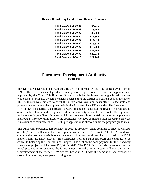| \$4,575  |
|----------|
| \$6,756  |
| \$8,366  |
| \$11,650 |
| \$14,570 |
| \$13,875 |
| \$19,290 |
| \$21,290 |
| \$29,934 |
| \$27,245 |
|          |
|          |

**Roosevelt Park Day Fund – Fund Balance Amounts** 

## **Downtown Development Authority Fund 248**

The Downtown Development Authority (DDA) was formed by the City of Roosevelt Park in 1998. The DDA is an independent entity governed by a Board of Directors appointed and approved by the City. This Board of Directors includes the Mayor and eight board members who consist of property owners or tenants representing the district and current council members. This Authority was initiated to assist the City's downtown area in its efforts to facilitate and promote new economic development within the Roosevelt Park DDA district. The formation of a DDA allows for alternative approaches towards financing the capital improvements necessary to attract or facilitate new development within a community's downtown district. One approach includes the Façade Grant Program which has been very busy in 2011 with seven applications and roughly \$60,000 reimbursed to the applicants who have completed their respective projects. A maximum reimbursement of \$15,000 per application is allowed under the program guidelines.

The DDA will experience less revenue in 2012 as property values continue to slide downward, affecting the overall amount of tax captured within the DDA district. The DDA Fund will continue the practice of reimbursing the General Fund for certain services provided to the DDA and/or within the DDA district. This assistance from the DDA has been and continues to be critical to balancing the General Fund Budget. The debt on the bond payment for the Broadway streetscape project will increase \$20,000 in 2012. The DDA Fund has also accounted for the initial preparation to redevelop the former DPW site and a future project will include the full redevelopment of the former DPW site that began in 2011 with the demolition and removal of two buildings and adjacent paved parking area.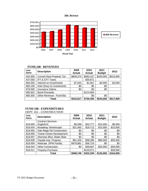**DDA Revenue**



| T 011D 270 - IND V DI 10 DO |                                  |                       |                       |                       |           |
|-----------------------------|----------------------------------|-----------------------|-----------------------|-----------------------|-----------|
| Line<br>items               | <b>Description</b>               | 2009<br><b>Actual</b> | 2010<br><b>Actual</b> | 2011<br><b>Budget</b> | 2012      |
| 402.000                     | <b>Current Real Property Tax</b> | \$609,274             | \$583,157             | \$530,000             | \$515,000 |
| 437.000                     | <b>IFT &amp; CFT Taxes</b>       |                       | \$30,871              |                       |           |
| 665.000                     | Interest on Investments          | \$7,643               | \$1,567               | \$4,000               | \$2,000   |
| 665.100                     | Gain (loss) on Investments       | \$0                   | \$0                   | \$0                   |           |
| 679.000                     | <b>Insurance Claims</b>          | \$0                   | \$0                   | \$0                   |           |
| 695.001                     | <b>Bond Proceeds</b>             |                       | \$114,900             |                       |           |
| 695.300                     | Other Revenue - Fund Bal.        |                       | \$0                   | \$0                   |           |
|                             | Total                            | \$616,917             | \$730,495             | \$534,000             | \$517,000 |

## **FUND 248 - REVENUES**

## **FUND 248 - EXPENDITURES**

DEPT. 451 - CONSTRUCTION

| Line<br>items | <b>Description</b>              | 2009<br><b>Actual</b> | 2010<br><b>Actual</b> | 2011<br><b>Budget</b> | 2012      |
|---------------|---------------------------------|-----------------------|-----------------------|-----------------------|-----------|
|               | <b>Contract Services -</b>      |                       |                       |                       |           |
| 818.000       | Eng&Arch                        | \$6,598               | \$24,777              | \$15,000              | \$6,000   |
| 818.004       | <b>Broadway Streetscape</b>     | \$21,065              | \$19,712              | \$15,000              | \$15,000  |
| 818.005       | Oak Ridge Rd Construction       | \$0                   | \$0                   | \$0                   | \$0       |
| 818.006       | <b>Towne Center Development</b> | \$0                   | \$0                   | \$0                   | \$0       |
| 818.007       | Sherman Blvd. Water Main        | \$0                   | \$0                   | \$0                   | \$0       |
| 818.008       | Façade Imp. Program             | \$61,205              | \$58,396              | \$80,000              | \$55,000  |
| 818.009       | Relocate DPW Facility           | \$479,881             | \$36,716              | \$0                   | \$0       |
| 818.010       | <b>Other Construction</b>       | \$0                   | \$49,667              | \$25,000              | \$50,000  |
| 818.011       | <b>Property Purchase</b>        |                       | \$133,071             |                       | \$38,500  |
|               | Total                           | \$568,749             | \$322,339             | \$135,000             | \$164,500 |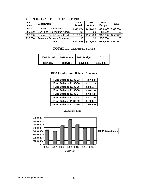| Line<br>items | <b>Description</b>           | 2009<br><b>Actual</b> | 2010<br><b>Actual</b> | 2011<br><b>Budget</b> | 2012      |
|---------------|------------------------------|-----------------------|-----------------------|-----------------------|-----------|
| 999.101       | Transfer - General Fund      | \$154,000             | \$156,000             | \$156,000             | \$156,000 |
| 999.300       | Gen Fund - Reimburse Admin   | \$0                   | \$0                   | \$2,500               | \$0       |
| 990.000       | Transfer - Debt Service Fund | \$138,558             | \$155,783             | \$157,000             | \$177,000 |
| 999.000       | Reserve - Property Purchase  | \$0                   | \$0                   | \$50,000              | \$0       |
|               | Total                        | \$292,558             | \$311,783             | \$365,500             | \$333,000 |

#### DEPT. 990 – TRANSFER TO OTHER FUND

# **TOTAL DDA EXPENDITURES**

| 2009 Actual | 2010 Actual | 2011 Budget | 2012      |
|-------------|-------------|-------------|-----------|
| \$861,307   | \$634.121   | \$475,500   | \$497,500 |

#### **DDA Fund – Fund Balance Amounts**

| \$81,000    |
|-------------|
| \$103,773   |
| \$363,413   |
| \$220,748   |
| \$220,748   |
| \$302,369   |
| $-$132,810$ |
| \$96,627    |
|             |

#### **DDA Expenditures**

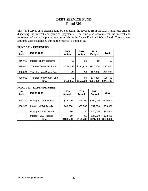## **DEBT SERVICE FUND Fund 301**

This fund serves as a clearing fund by collecting the revenue from the DDA Fund just prior to dispersing the interest and principal payments. The fund also accounts for the interest and retirement of any principle on long-term debt in the Sewer Fund and Water Fund.The payment amounts were established during the respective bond issue.

| Line<br>items | <b>Description</b>              | 2009<br><b>Actual</b> | 2010<br><b>Actual</b> | 2011<br><b>Budget</b> | 2012      |
|---------------|---------------------------------|-----------------------|-----------------------|-----------------------|-----------|
| 665.000       | Interest on Investments         | \$0                   | \$0                   | \$0                   | \$0       |
| 990.000       | Transfer from DDA Fund          | \$138,558             | \$155,729             | \$157,000             | \$177,000 |
| 990.001       | <b>Transfer from Sewer Fund</b> | \$0                   | \$0                   | \$27,000              | \$27,700  |
| 990.002       | <b>Transfer from Water Fund</b> | \$0                   | \$0                   | \$37,800              | \$39,700  |
|               | Total                           | \$138,558             | \$155,729             | \$221,800             | \$244,400 |

#### **FUND 301 - REVENUES**

#### **FUND 301 - EXPENDITURES**

| Line<br>items | <b>Description</b>     | 2009<br><b>Actual</b> | 2010<br><b>Actual</b> | 2011<br><b>Budget</b> | 2012      |
|---------------|------------------------|-----------------------|-----------------------|-----------------------|-----------|
| 968.200       | Principal - DDA Bonds  | \$75,000              | \$95,000              | \$100,000             | \$125,000 |
| 968.300       | Interest - DDA Bonds   | \$63,558              | \$60,783              | \$57,000              | \$53,000  |
|               | Principal - 2007 Bonds | \$0                   | \$0                   | \$40,000              | \$44,000  |
|               | Interest - 2007 Bonds  | \$0                   | \$0                   | \$24,800              | \$22,400  |
|               | Total                  | \$138,558             | \$155,783             | \$221,800             | \$244,400 |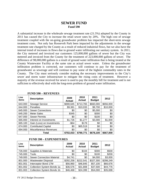## **SEWER FUND Fund 590**

A substantial increase in the wholesale sewage treatment rate (21.5%) adopted by the County in 2011 has caused the City to increase the retail sewer rates by 20%. The high cost of sewage treatment coupled with the on-going groundwater problem has impacted the short-term sewage treatment costs. Not only has Roosevelt Park been impacted by the adjustments in the sewage treatment rate charged by the County as a result of reduced industrial flows, but we also have the internal trend of increases in flows due to ground water infiltrating our sanitary system. In 2011, the City metered and invoiced our customers 125,000,000 gallons of sewer but the City was metered and invoiced from the County for the treatment of 223,000,000 gallons of sewer. The difference of 98,000,000 gallons is a result of ground water infiltration that is being treated at the County Wastewater Facility at the same rate as actual sewer water. Unless the groundwater infiltration problem is corrected, our customers will continue to pay for the treatment of groundwater as sewerage and will continue to pay some of the highest commodity rates in the County. The City must seriously consider making the necessary improvements to the City's sewer and storm water infrastructure to mitigate the rising costs of treatment. However a majority of the revenue received for sewer is used to pay the monthly bill for treatment and is not sufficient to effectively deal with the long-term problem of ground water infiltration.

| <b>Line</b><br>items | <b>Description</b>            | 2009<br><b>Actual</b> | 2010<br><b>Actual</b> | 2011<br><b>Budget</b> | 2012      |
|----------------------|-------------------------------|-----------------------|-----------------------|-----------------------|-----------|
| 643.000              | Sewage Service                | \$690,645             | \$713,765             | \$660,000             | \$656,000 |
| 644.000              | Penalties                     | \$9,381               | \$10,033              | \$9,700               | \$10,000  |
| 645.000              | <b>Sewer Connections</b>      | \$0                   | \$0                   | \$5,000               | \$0       |
| 645.200              | <b>Meter Sales</b>            | \$345                 | \$0                   | \$300                 | \$0       |
| 647.000              | <b>Sewer Permits</b>          | \$0                   | \$0                   | \$100                 | \$0       |
| 665.000              | Interest on Investments       | \$1,726               | \$1,277               | \$3,000               | \$1,000   |
| 665.100              | Gain (Loss) on Investments    | -\$64                 | \$178                 | \$0                   | \$0       |
| 674.000              | <b>Contributed Capital</b>    | \$0                   | \$65,519              | \$0                   | \$0       |
| 694.000              | <b>Miscellaneous Revenues</b> | \$0                   | \$0                   | \$0                   | \$0       |
|                      | Total                         | \$702,033             | \$790,771             | \$678,100             | \$667,000 |

#### **FUND 590 – REVENUES**

#### **FUND 590 – EXPENDITURES**

| Line<br>items | <b>Description</b>                | 2009<br><b>Actual</b> | 2010<br><b>Actual</b> | 2011<br><b>Budget</b> | 2012      |
|---------------|-----------------------------------|-----------------------|-----------------------|-----------------------|-----------|
| 726.000       | Supplies & Materials              | \$0                   | \$104                 | \$300                 | \$500     |
| 745.000       | Tools                             | \$0                   | \$0                   | \$100                 | \$200     |
| 749.000       | <b>Sewer Connection Material</b>  | \$4,741               | \$0                   | \$4,000               | \$3,000   |
| 801.000       | <b>Wastewater Disposal</b>        | \$292,258             | \$222,541             | \$327,300             | \$298,249 |
| 801.001       | Interceptor Bond 17M              | \$56,960              | \$46,845              | \$57,100              | \$66,676  |
| 801.002       | <b>Collection System Bonds 1a</b> | \$36,576              | \$31,808              | \$37,500              | \$44,776  |
| 801.003       | <b>Collection System Bonds 1b</b> | \$46,468              | \$24,399              | \$54,000              | \$35,698  |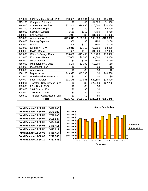| 801.004 | 66" Force Main Bonds 1& 2           | \$10,651  | \$66,384  | \$49,500  | \$95,040  |
|---------|-------------------------------------|-----------|-----------|-----------|-----------|
| 815.100 | <b>Computer Software</b>            | \$0       | \$0       | \$4,000   | \$1,000   |
| 818.000 | <b>Contractual Services</b>         | \$21,445  | \$28,856  | \$16,000  | \$20,000  |
| 818.300 | <b>Contractual Repair</b>           | \$0       | \$0       | \$0       | \$2,000   |
| 819.000 | Software Support                    | \$660     | \$660     | \$700     | \$750     |
| 820.000 | Engineering                         | \$914     | \$0       | \$1,000   | \$1,000   |
| 825.000 | Administrative Fee                  | \$105,315 | \$108,788 | \$99,300  | \$100,050 |
| 856.000 | <b>Meeting Expense</b>              | \$50      | \$0       | \$100     | \$100     |
| 904.000 | Printing                            | \$96      | \$179     | \$100     | \$100     |
| 923.000 | Electricity - GWP                   | \$3,819   | \$3,752   | \$3,500   | \$3,900   |
| 930.000 | GWP - Repair                        | \$631     | \$519     | \$1,500   | \$2,000   |
| 942.000 | Office & Garage Rental              | \$13,400  | \$13,400  | \$13,400  | \$13,400  |
| 943.000 | <b>Equipment Rental</b>             | \$7,000   | \$6,000   | \$4,000   | \$4,000   |
| 956.000 | Miscellaneous                       | \$0       | \$147     | \$100     | \$150     |
| 958.000 | Memberships & Dues                  | \$146     | \$2,000   | \$2,000   | \$60      |
| 961.000 | <b>Investment Fees</b>              | \$0       | \$0       | \$0       | \$0       |
| 968.000 | Amoritzation                        | \$0       | \$0       | \$0       | \$0       |
| 968.100 | Depreciation                        | \$43,393  | \$43,393  | \$0       | \$40,500  |
| 962.000 | Uncollected Revenue Exp.            | \$0       | \$0       | \$0       | \$0       |
| 990.00  | Labor Transfer                      | \$31,178  | \$22,981  | \$20,500  | \$25,000  |
| 990.001 | Transfer - Debt Service Fund        | \$0       | \$0       | \$27,050  | \$27,700  |
| 993.000 | 2.3M Bond - 1992                    | \$0       | \$0       | \$0       |           |
| 997.000 | 23M Bond - 1989                     | \$0       | \$0       | \$0       |           |
| 998.000 | 23M Bond - 1996                     | \$0       | \$0       | \$0       |           |
| 999.500 | <b>Transfer - Construction Fund</b> | \$0       | \$0       | \$0       |           |
|         | <b>Total</b>                        | \$675,701 | \$622,755 | \$723,050 | \$785,849 |

| Fund Balance 11-30-01        | \$448,800 |                        |
|------------------------------|-----------|------------------------|
| Fund Balance 11-30-02        | \$572,385 | \$900,000              |
| <b>Fund Balance 11-30-03</b> | \$742,005 | \$800,000              |
| <b>Fund Balance 11-30-04</b> | \$665,847 | \$700,000              |
| <b>Fund Balance 11-30-05</b> | \$434,281 | \$600,000<br>\$500,000 |
| <b>Fund Balance 11-30-06</b> | \$448,411 | \$400,000              |
| Fund Balance 11-30-07        | \$477,011 | \$300,000              |
| <b>Fund Balance 11-30-08</b> | \$455,417 | \$200,000              |
| Fund Balance 11-30-09        | \$240,566 | \$100,000              |
| Fund Balance 11-30-10        | \$337,886 | \$0                    |

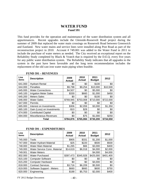## **WATER FUND Fund 591**

This fund provides for the operation and maintenance of the water distribution system and all appurtenances. Recent upgrades include the Glenside-Roosevelt Road project during the summer of 2009 that replaced the water main crossings on Roosevelt Road between Greenwich and Eastland. New water mains and service lines were installed along Post Road as part of the reconstruction project in 2010. Account # 749.001 was added to the Water Fund in 2011 to include the purchase of water meters as needed. The City received an exceptional report on the Reliability Study completed by Black & Veatch that is required by the D.E.Q. every five years for any public water distribution system. The Reliability Study indicates that all upgrades to the system in the past have been favorable and the long term recommendation includes the replacement of the old cast iron water main piping when feasible.

| Line<br>items | <b>Description</b>            | 2009<br><b>Actual</b> | 2010<br><b>Actual</b> | 2011<br><b>Budget</b> | 2012      |
|---------------|-------------------------------|-----------------------|-----------------------|-----------------------|-----------|
| 641.000       | <b>Hydrant Rental</b>         | \$0                   | \$0                   | \$100                 | \$0       |
| 644.000       | Penalties                     | \$9,798               | \$9,254               | \$10,000              | \$10,500  |
| 645.000       | <b>Water Connections</b>      | \$4,507               | \$0                   | \$5,000               | \$0       |
| 645.100       | <b>Irrigation Meter Sales</b> | \$330                 | \$660                 | \$1,000               | \$450     |
| 645.200       | <b>Meters Sales</b>           | \$0                   | \$0                   | \$100                 | \$0       |
| 646.000       | <b>Water Sales</b>            | \$769,945             | \$753,008             | \$710,000             | \$722,000 |
| 647.000       | <b>Permits</b>                | \$0                   | \$0                   | \$0                   | \$0       |
| 665.000       | Interest on Investments       | \$306                 | \$2,059               | \$3,000               | \$1,350   |
| 665.100       | Gain (Loss) on Investments    | $-$10$                | \$28                  | \$0                   | \$0       |
| 674.000       | <b>Contributed Capital</b>    | \$0                   | \$0                   | \$0                   | \$0       |
| 694.000       | <b>Miscellaneous Revenues</b> | \$0                   | \$75                  | \$1,000               | \$250     |
|               | Total                         | \$784.876             | \$765,084             | \$730,200             | \$734,550 |

#### **FUND 591 – REVENUES**

#### **FUND 591 – EXPENDITURES**

| Line<br>items | <b>Description</b>            | 2009<br><b>Actual</b> | 2010<br><b>Actual</b> | 2011<br><b>Budget</b> | 2012      |
|---------------|-------------------------------|-----------------------|-----------------------|-----------------------|-----------|
| 745.000       | Tools                         | \$905                 | \$331                 | \$1,200               | \$1,000   |
| 747.000       | <b>Water Hydrant Material</b> | \$25                  | \$220                 | \$500                 | \$500     |
| 748.000       | <b>Water Main Material</b>    | \$1,265               | \$66                  | \$3,000               | \$400     |
| 749.000       | Water Service Conn. Material  | \$14,619              | \$6,018               | \$4,000               | \$2,000   |
| 749.001       | <b>Water Meters</b>           |                       |                       | \$4,000               | \$4,000   |
| 802.000       | <b>Water Purchased</b>        | \$397,473             | \$345,928             | \$425,000             | \$401,400 |
| 815.100       | <b>Computer Software</b>      | \$0                   | \$0                   | \$0                   | \$0       |
| 815.200       | <b>Computer Hardware</b>      | \$0                   | \$0                   | \$4,000               | \$0       |
| 818.000       | <b>Contract Services</b>      | \$3,716               | \$6,209               | \$5,500               | \$0       |
| 819.000       | Software Support - Meters     | \$660                 | \$660                 | \$600                 | \$750     |
| 820.000       | Engineering                   | \$188                 | \$5,753               | \$2,000               | \$400     |

 $FY$  2012 Budget Document  $-40$  -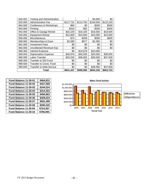| 820.001 | <b>Testing and Administration</b> |           |           | \$4,000   | \$0       |
|---------|-----------------------------------|-----------|-----------|-----------|-----------|
| 825.000 | <b>Administrative Fee</b>         | \$117,731 | \$114,763 | \$109,500 | \$110,183 |
| 864.000 | Conference & Workshops            | \$60      | \$0       | \$500     | \$500     |
| 904.000 | Printing                          | \$310     | \$62      | \$300     | \$400     |
| 942.000 | Office & Garage Rental            | \$16,100  | \$16,100  | \$18,500  | \$18,500  |
| 943.000 | <b>Equipment Rental</b>           | \$12,000  | \$10,000  | \$10,000  | \$10,000  |
| 956.000 | Miscellaneous                     | \$74      | \$408     | \$500     | \$600     |
| 958.000 | Memberships & Dues                | \$2,080   | \$977     | \$2,000   | \$0       |
| 961.000 | <b>Investment Fees</b>            | \$0       | \$0       | \$0       | \$0       |
| 962.000 | <b>Uncollected Revenue Exp</b>    | \$0       | \$0       | \$0       | \$0       |
| 968.300 | <b>Interest Expense</b>           | \$0       | \$14,678  | \$10,000  |           |
| 969.000 | <b>Depreciation Expense</b>       | \$40,976  | \$40,505  | \$20,000  | \$38,000  |
| 990.000 | Labor Transfer                    | \$33,255  | \$36,902  | \$30,000  | \$37,500  |
| 999.400 | Transfer to 202 Fund              | \$0       | \$0       | \$0       | \$0       |
| 999.500 | <b>Transfer to Const. Fund</b>    | \$0       | \$0       | \$0       | \$0       |
| 990.600 | <b>Transfer to Debt Service</b>   | \$0       | \$0       | \$39,000  | \$37,600  |
|         | Total                             | \$641,437 | \$599,580 | \$694,100 | \$663,733 |

| Fund Balance 11-30-01 | \$464,831 |
|-----------------------|-----------|
| Fund Balance 11-30-02 | \$427,589 |
| Fund Balance 11-30-03 | \$344,524 |
| Fund Balance 11-30-04 | \$314,303 |
| Fund Balance 11-30-05 | \$494,963 |
| Fund Balance 11-30-06 | \$409,024 |
| Fund Balance 11-30-07 | \$591,499 |
| Fund Balance 11-30-08 | \$590,220 |
| Fund Balance 11-30-09 | \$724,307 |
| Fund Balance 11-30-10 | \$796,994 |

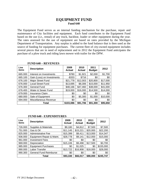## **EQUIPMENT FUND Fund 640**

The Equipment Fund serves as an internal funding mechanism for the purchase, repair and maintenance of City facilities and equipment. Each fund contributes to the Equipment Fund based on the use (i.e., rental) of any truck, backhoe, loader or other equipment during the year. The rates assessed for the use of equipment are based on rates provided by the Michigan Department of Transportation. Any surplus is added to the fund balance that is then used as the source of funding for equipment purchases. The current fleet of city-owned equipment includes several pieces that are in need of replacement and in 2012 the Equipment Fund anticipates the purchase of a plow truck and riding lawn mower with trailer for the DPW.

| Line<br>items | <b>Description</b>         | 2009<br><b>Actual</b> | 2010<br>Actual | 2011<br><b>Budget</b> | 2012     |
|---------------|----------------------------|-----------------------|----------------|-----------------------|----------|
| 665,000       | Interest on Investments    | \$780                 | \$1,921        | \$2,000               | \$1,700  |
| 665.100       | Gain (Loss) on Investments | $-$ \$333             | \$716          | \$0                   | \$0      |
| 676.100       | Major Street Fund          | \$21,778              | \$12,003       | \$20,800              | \$17,000 |
| 676,000       | <b>Local Street Fund</b>   | \$13,695              | \$8,306        | \$15,000              | \$11,950 |
| 676.300       | <b>General Fund</b>        | \$48,166              | \$47,460       | \$38,000              | \$41,000 |
| 676.400       | Water & Sewer Fund         | \$19,000              | \$16,000       | \$14,500              | \$14,000 |
| 679.000       | <b>Insurance Claim</b>     | \$0                   | \$0            | \$0                   | \$0      |
| 680.000       | Sale of Equipment          | \$0                   | \$5,300        | \$1,000               | \$10,000 |
| 694.000       | Miscellaneous Revenue      | \$0                   | \$0            | \$0                   | \$0      |
|               | Total                      | \$103,086             | \$91,706       | \$91,300              | \$95,650 |

#### **FUND 640 – REVENUES**

#### **FUND 640 - EXPENDITURES**

| Line<br>items | <b>Description</b>            | 2009<br>Actual | 2010<br><b>Actual</b> | 2011<br><b>Budget</b> | 2012      |
|---------------|-------------------------------|----------------|-----------------------|-----------------------|-----------|
| 726.000       | Supplies & Materials          | \$9,180        | \$4,812               | \$7,500               | \$7,500   |
| 751.000       | Gas & Oil                     | \$11,145       | \$15,221              | \$20,000              | \$22,200  |
| 825.000       | <b>Administrative Fee</b>     | \$15,399       | \$9,411               | \$13,000              | \$14,347  |
| 936.000       | Equipment Repair & Maint.     | \$28,778       | \$9,141               | \$12,000              | \$15,000  |
| 961.000       | <b>Investment Fees</b>        | \$0            | \$0                   | \$0                   | \$0       |
| 969.000       | Depreciation                  | \$15,106       | \$9,498               | \$17,500              | \$3,700   |
| 985.000       | <b>Equipment Purchases</b>    | \$0            | \$1,025               | \$0                   | \$155,000 |
| 990.000       | Labor Transfer                | \$13,722       | \$16,908              | \$18,000              | \$28,000  |
| 990.300       | <b>General Fund Reimburse</b> | \$0            | \$0                   | \$0                   | \$0       |
|               | Total                         | \$93,330       | \$66,017              | \$88,000              | \$245,747 |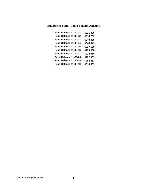| Fund Balance 11-30-01 | \$215,936 |
|-----------------------|-----------|
| Fund Balance 11-30-02 | \$314,732 |
| Fund Balance 11-30-03 | \$349,956 |
| Fund Balance 11-30-04 | \$345,643 |
| Fund Balance 11-30-05 | \$227,560 |
| Fund Balance 11-30-06 | \$220,908 |
| Fund Balance 11-30-07 | \$224,966 |
| Fund Balance 11-30-08 | \$222,003 |
| Fund Balance 11-30-09 | \$283,363 |
| Fund Balance 11-30-10 | \$318,809 |

**Equipment Fund – Fund Balance Amounts**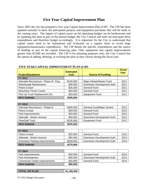# **Five Year Capital Improvement Plan**

Since 2003 the city has prepared a five year Capital Improvement Plan (CIP). The CIP has been updated annually to show the anticipated projects and equipment purchases that will be made in the coming years. The impact of capital assets on the operating budget can be burdensome and by updating this plan as part of the annual budget, the City Council and staff can anticipate these expenditures and therefore budget accordingly. It is important for the City to understand that capital assets need to be maintained and evaluated on a regular basis to avoid large equipment/maintenance expenditures. The CIP details the specific expenditures and the source of funding as part of the capital financing plan. Only equipment and capital improvements greater than \$5,000 are included. The CIP is for planning purposes only; the City Council has the option of adding, deleting, or revising the plan as they choose during the fiscal year.

|                                        | <b>Estimated</b> |                                   | <b>Fiscal</b><br>Year |
|----------------------------------------|------------------|-----------------------------------|-----------------------|
| <b>Project/Equipment</b>               | Cost             | <b>Source of Funding</b>          |                       |
| <b>FY 2011</b>                         |                  |                                   |                       |
| Glenside Reconstruct - Phase III: Eng. | \$100,000        | Major Streets/Sewer Fund          | 2011                  |
| <b>Streetscape Maintenance</b>         | \$30,000         | Downtown Development Auth.        | 2011                  |
| <b>Police Cruiser</b>                  | \$25,000         | <b>General Fund</b>               | 2011                  |
| <b>Resurface Tennis Courts</b>         | \$30,000         | <b>General Fund</b>               | 2011                  |
| Pick-Up Truck Replacement Str.         | \$20,000         | <b>Equipment Fund</b>             | 2011                  |
| 2011 Subtotal                          | \$205,000        |                                   |                       |
|                                        |                  |                                   |                       |
| FY 2012                                |                  |                                   |                       |
| Glenside Reconstruct - Phase III       | \$400,000        | <b>General Fund/Major Streets</b> | 2012                  |
| <b>Police Cruiser</b>                  | \$20,000         | <b>General Fund</b>               | 2012                  |
| Park Improvements                      | \$20,000         | <b>General Fund</b>               | 2012                  |
| Sidewalk - Norton Avenue               | \$50,000         | Downtown Development Auth.        | 2012                  |
| Plow/Salt Truck                        | \$135,000        | <b>Equipment Fund</b>             | 2012                  |
| 2012 Subtotal                          | \$625,000        |                                   |                       |
|                                        |                  |                                   |                       |
| FY 2013                                |                  |                                   |                       |
| <b>Police Cruiser</b>                  | \$25,000         | <b>General Fund</b>               | 2013                  |
| Sidewalk - Norton Avenue               | \$50,000         | Downtown Development Auth.        | 2013                  |
| Downtown Parking Improvements          | \$200,000        | Downtown Development Auth.        | 2013                  |
| 2013 Subtotal                          | \$275,000        |                                   |                       |
|                                        |                  |                                   |                       |
| <b>FY 2014</b>                         |                  |                                   |                       |
| Park Improvements                      | mn nc¢           | General Fund                      | 2014                  |

#### **FIVE YEAR CAPITAL IMPROVEMENT PLAN (CIP)**

| <b>FY 2014</b>                       |          |                                    |
|--------------------------------------|----------|------------------------------------|
| Park Improvements                    | \$20,000 | 2014<br>General Fund               |
| Park Development                     | \$40,000 | 2014<br>Downtown Development Auth. |
| <b>Community Center Improvements</b> | \$20,000 | 2014<br>General Fund               |
| 2014 Subtotal                        | \$80,000 |                                    |

| <b>TOTAL CIP PLAN</b> | \$1.185.000 |
|-----------------------|-------------|
|                       |             |

 $FY$  2012 Budget Document  $-44 -$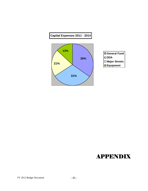

# APPENDIX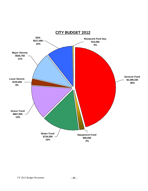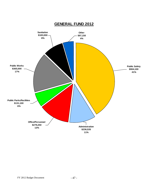